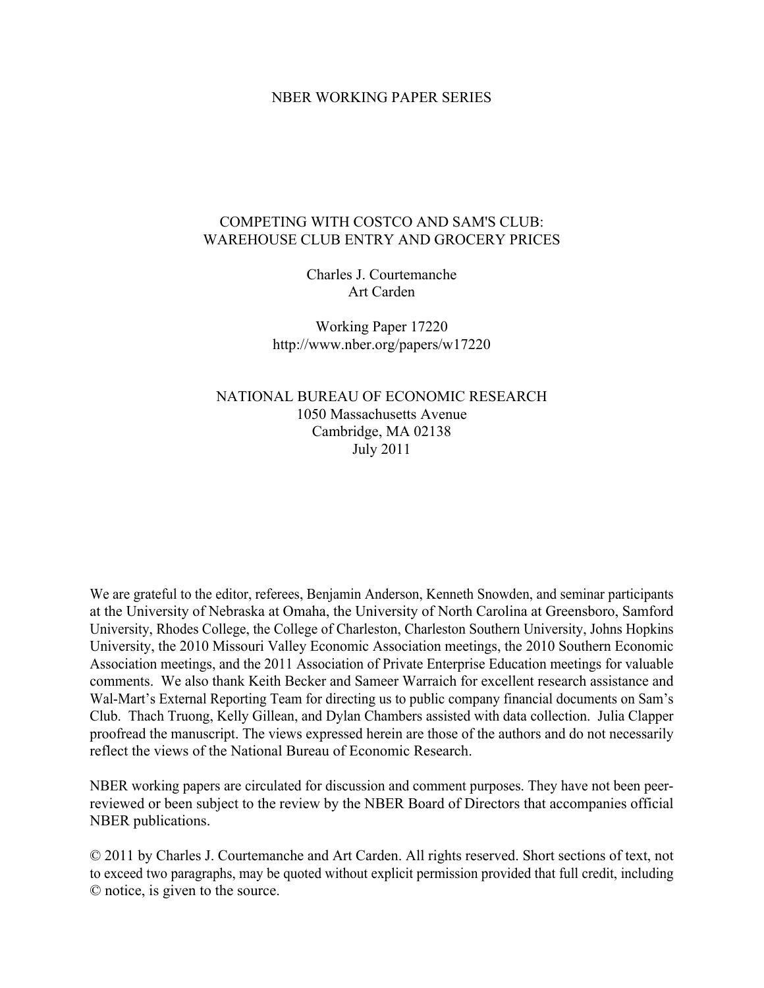## NBER WORKING PAPER SERIES

# COMPETING WITH COSTCO AND SAM'S CLUB: WAREHOUSE CLUB ENTRY AND GROCERY PRICES

Charles J. Courtemanche Art Carden

Working Paper 17220 http://www.nber.org/papers/w17220

NATIONAL BUREAU OF ECONOMIC RESEARCH 1050 Massachusetts Avenue Cambridge, MA 02138 July 2011

We are grateful to the editor, referees, Benjamin Anderson, Kenneth Snowden, and seminar participants at the University of Nebraska at Omaha, the University of North Carolina at Greensboro, Samford University, Rhodes College, the College of Charleston, Charleston Southern University, Johns Hopkins University, the 2010 Missouri Valley Economic Association meetings, the 2010 Southern Economic Association meetings, and the 2011 Association of Private Enterprise Education meetings for valuable comments. We also thank Keith Becker and Sameer Warraich for excellent research assistance and Wal-Mart's External Reporting Team for directing us to public company financial documents on Sam's Club. Thach Truong, Kelly Gillean, and Dylan Chambers assisted with data collection. Julia Clapper proofread the manuscript. The views expressed herein are those of the authors and do not necessarily reflect the views of the National Bureau of Economic Research.

NBER working papers are circulated for discussion and comment purposes. They have not been peerreviewed or been subject to the review by the NBER Board of Directors that accompanies official NBER publications.

© 2011 by Charles J. Courtemanche and Art Carden. All rights reserved. Short sections of text, not to exceed two paragraphs, may be quoted without explicit permission provided that full credit, including © notice, is given to the source.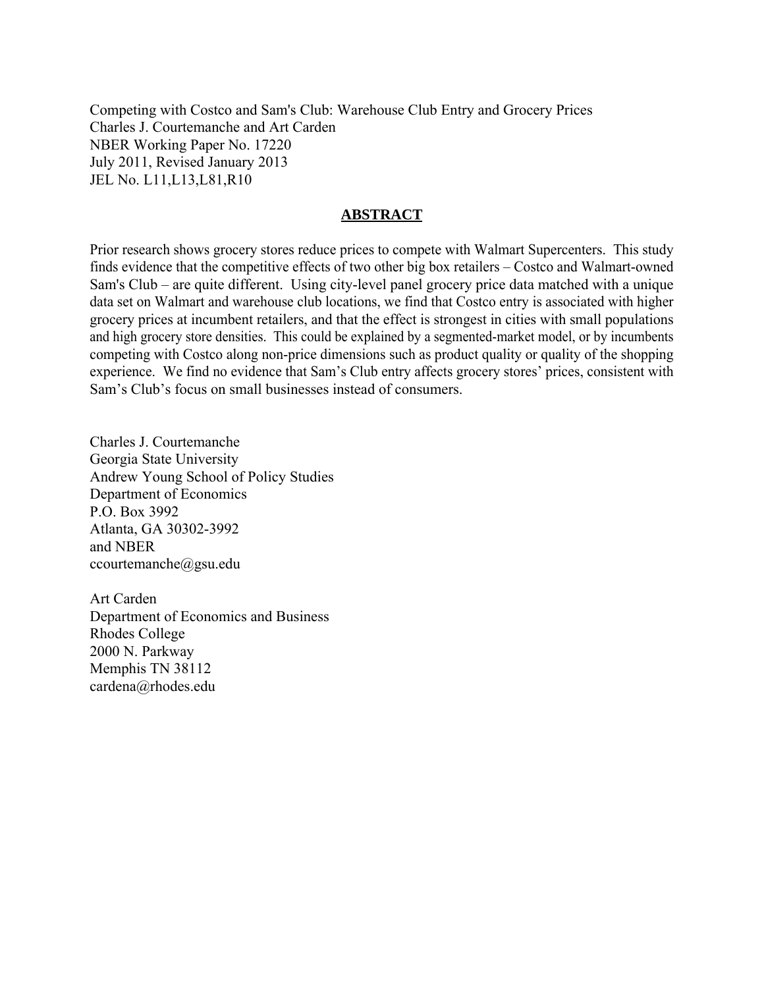Competing with Costco and Sam's Club: Warehouse Club Entry and Grocery Prices Charles J. Courtemanche and Art Carden NBER Working Paper No. 17220 July 2011, Revised January 2013 JEL No. L11,L13,L81,R10

## **ABSTRACT**

Prior research shows grocery stores reduce prices to compete with Walmart Supercenters. This study finds evidence that the competitive effects of two other big box retailers – Costco and Walmart-owned Sam's Club – are quite different. Using city-level panel grocery price data matched with a unique data set on Walmart and warehouse club locations, we find that Costco entry is associated with higher grocery prices at incumbent retailers, and that the effect is strongest in cities with small populations and high grocery store densities. This could be explained by a segmented-market model, or by incumbents competing with Costco along non-price dimensions such as product quality or quality of the shopping experience. We find no evidence that Sam's Club entry affects grocery stores' prices, consistent with Sam's Club's focus on small businesses instead of consumers.

Charles J. Courtemanche Georgia State University Andrew Young School of Policy Studies Department of Economics P.O. Box 3992 Atlanta, GA 30302-3992 and NBER ccourtemanche@gsu.edu

Art Carden Department of Economics and Business Rhodes College 2000 N. Parkway Memphis TN 38112 cardena@rhodes.edu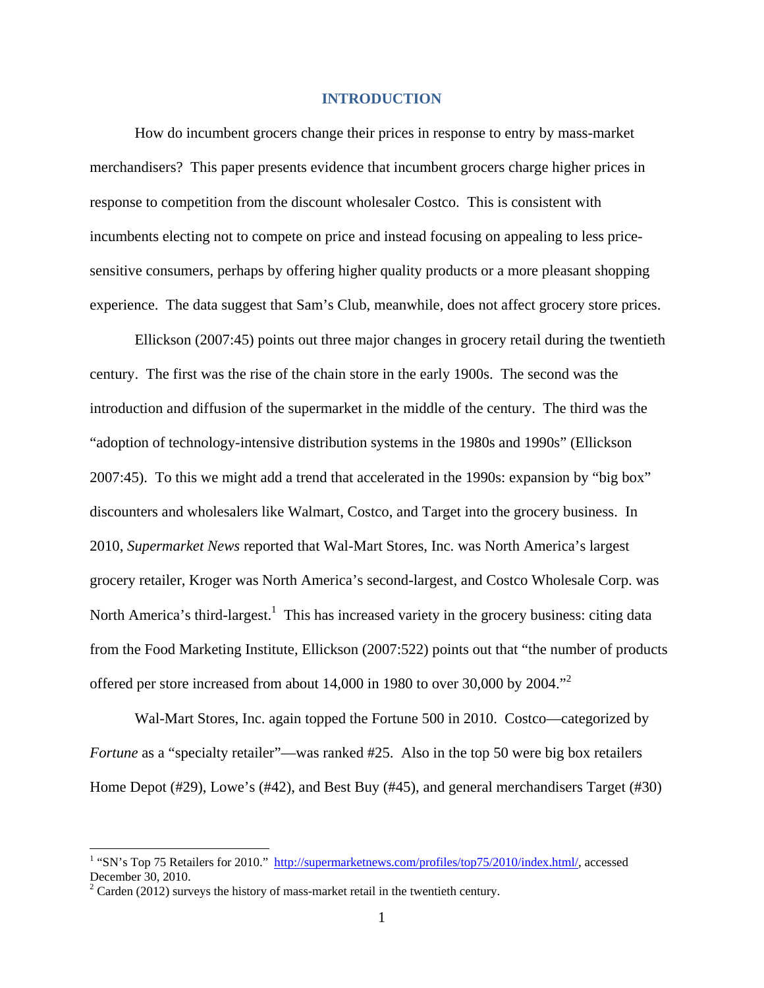## **INTRODUCTION**

 How do incumbent grocers change their prices in response to entry by mass-market merchandisers? This paper presents evidence that incumbent grocers charge higher prices in response to competition from the discount wholesaler Costco. This is consistent with incumbents electing not to compete on price and instead focusing on appealing to less pricesensitive consumers, perhaps by offering higher quality products or a more pleasant shopping experience. The data suggest that Sam's Club, meanwhile, does not affect grocery store prices.

Ellickson (2007:45) points out three major changes in grocery retail during the twentieth century. The first was the rise of the chain store in the early 1900s. The second was the introduction and diffusion of the supermarket in the middle of the century. The third was the "adoption of technology-intensive distribution systems in the 1980s and 1990s" (Ellickson 2007:45). To this we might add a trend that accelerated in the 1990s: expansion by "big box" discounters and wholesalers like Walmart, Costco, and Target into the grocery business. In 2010, *Supermarket News* reported that Wal-Mart Stores, Inc. was North America's largest grocery retailer, Kroger was North America's second-largest, and Costco Wholesale Corp. was North America's third-largest.<sup>1</sup> This has increased variety in the grocery business: citing data from the Food Marketing Institute, Ellickson (2007:522) points out that "the number of products offered per store increased from about  $14,000$  in 1980 to over 30,000 by 2004."<sup>2</sup>

Wal-Mart Stores, Inc. again topped the Fortune 500 in 2010. Costco—categorized by *Fortune* as a "specialty retailer"—was ranked #25. Also in the top 50 were big box retailers Home Depot (#29), Lowe's (#42), and Best Buy (#45), and general merchandisers Target (#30)

<sup>&</sup>lt;sup>1</sup> "SN's Top 75 Retailers for 2010." http://supermarketnews.com/profiles/top75/2010/index.html/, accessed December 30, 2010.

 $2^2$  Carden (2012) surveys the history of mass-market retail in the twentieth century.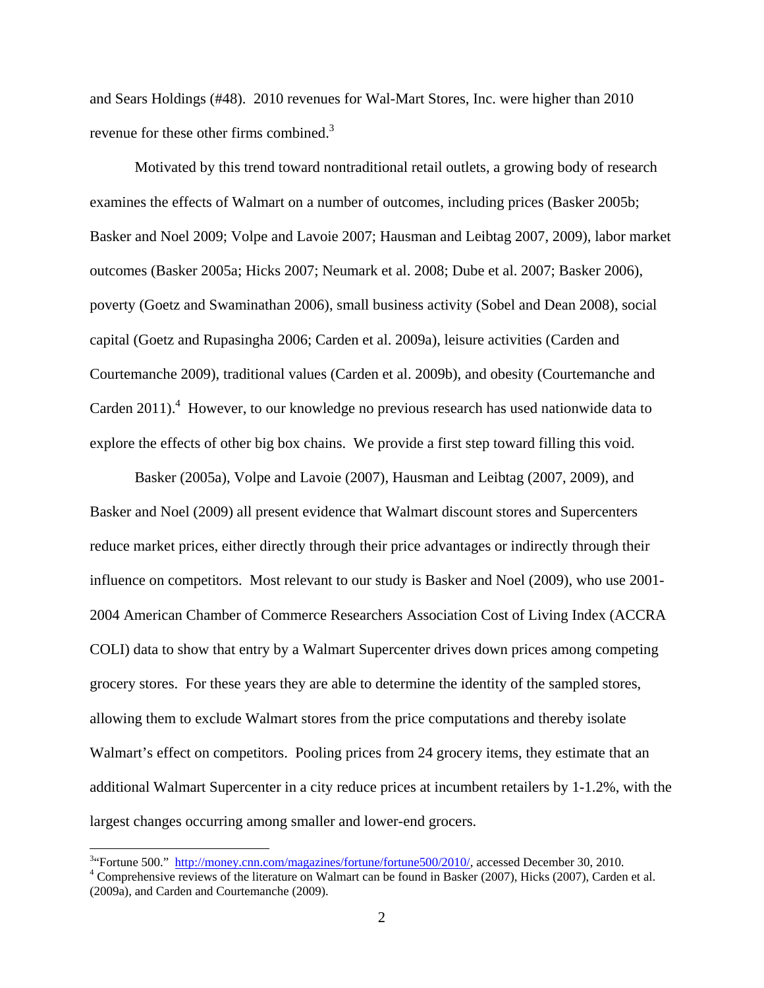and Sears Holdings (#48). 2010 revenues for Wal-Mart Stores, Inc. were higher than 2010 revenue for these other firms combined.<sup>3</sup>

Motivated by this trend toward nontraditional retail outlets, a growing body of research examines the effects of Walmart on a number of outcomes, including prices (Basker 2005b; Basker and Noel 2009; Volpe and Lavoie 2007; Hausman and Leibtag 2007, 2009), labor market outcomes (Basker 2005a; Hicks 2007; Neumark et al. 2008; Dube et al. 2007; Basker 2006), poverty (Goetz and Swaminathan 2006), small business activity (Sobel and Dean 2008), social capital (Goetz and Rupasingha 2006; Carden et al. 2009a), leisure activities (Carden and Courtemanche 2009), traditional values (Carden et al. 2009b), and obesity (Courtemanche and Carden  $2011$ ).<sup>4</sup> However, to our knowledge no previous research has used nationwide data to explore the effects of other big box chains. We provide a first step toward filling this void.

Basker (2005a), Volpe and Lavoie (2007), Hausman and Leibtag (2007, 2009), and Basker and Noel (2009) all present evidence that Walmart discount stores and Supercenters reduce market prices, either directly through their price advantages or indirectly through their influence on competitors. Most relevant to our study is Basker and Noel (2009), who use 2001- 2004 American Chamber of Commerce Researchers Association Cost of Living Index (ACCRA COLI) data to show that entry by a Walmart Supercenter drives down prices among competing grocery stores. For these years they are able to determine the identity of the sampled stores, allowing them to exclude Walmart stores from the price computations and thereby isolate Walmart's effect on competitors. Pooling prices from 24 grocery items, they estimate that an additional Walmart Supercenter in a city reduce prices at incumbent retailers by 1-1.2%, with the largest changes occurring among smaller and lower-end grocers.

<sup>&</sup>lt;sup>3</sup> Fortune 500." http://<u>money.cnn.com/magazines/fortune/fortune500/2010/</u>, accessed December 30, 2010.

<sup>&</sup>lt;sup>4</sup> Comprehensive reviews of the literature on Walmart can be found in Basker (2007), Hicks (2007), Carden et al. (2009a), and Carden and Courtemanche (2009).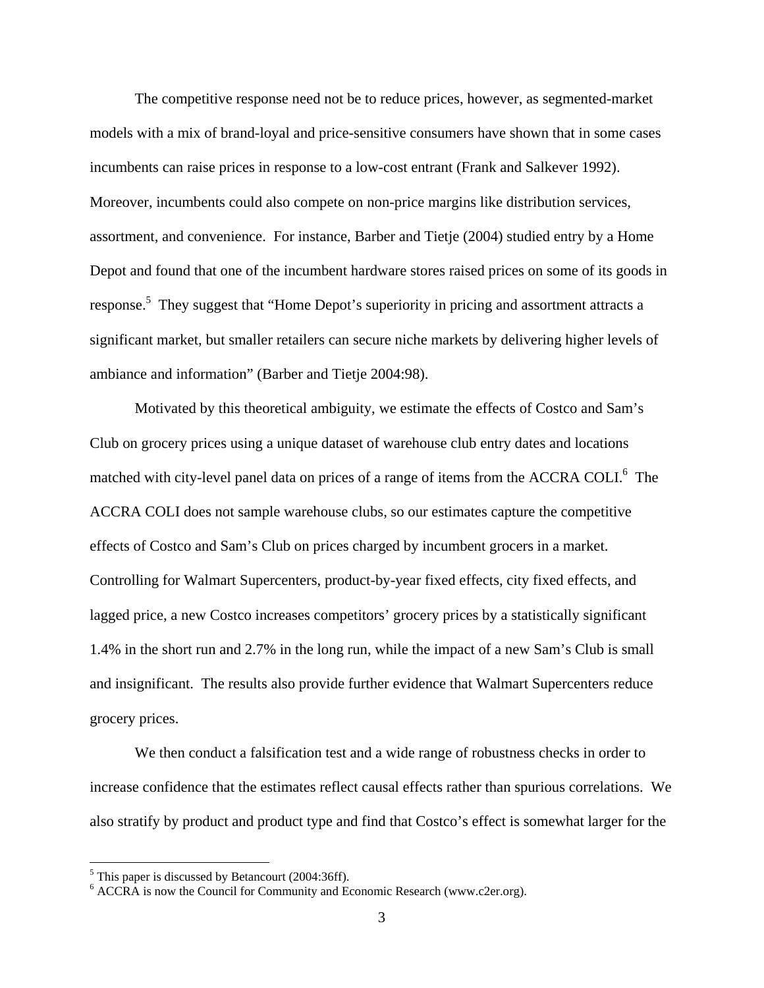The competitive response need not be to reduce prices, however, as segmented-market models with a mix of brand-loyal and price-sensitive consumers have shown that in some cases incumbents can raise prices in response to a low-cost entrant (Frank and Salkever 1992). Moreover, incumbents could also compete on non-price margins like distribution services, assortment, and convenience. For instance, Barber and Tietje (2004) studied entry by a Home Depot and found that one of the incumbent hardware stores raised prices on some of its goods in response.<sup>5</sup> They suggest that "Home Depot's superiority in pricing and assortment attracts a significant market, but smaller retailers can secure niche markets by delivering higher levels of ambiance and information" (Barber and Tietje 2004:98).

Motivated by this theoretical ambiguity, we estimate the effects of Costco and Sam's Club on grocery prices using a unique dataset of warehouse club entry dates and locations matched with city-level panel data on prices of a range of items from the ACCRA COLI.<sup>6</sup> The ACCRA COLI does not sample warehouse clubs, so our estimates capture the competitive effects of Costco and Sam's Club on prices charged by incumbent grocers in a market. Controlling for Walmart Supercenters, product-by-year fixed effects, city fixed effects, and lagged price, a new Costco increases competitors' grocery prices by a statistically significant 1.4% in the short run and 2.7% in the long run, while the impact of a new Sam's Club is small and insignificant. The results also provide further evidence that Walmart Supercenters reduce grocery prices.

We then conduct a falsification test and a wide range of robustness checks in order to increase confidence that the estimates reflect causal effects rather than spurious correlations. We also stratify by product and product type and find that Costco's effect is somewhat larger for the

 $<sup>5</sup>$  This paper is discussed by Betancourt (2004:36ff).</sup>

<sup>&</sup>lt;sup>6</sup> ACCRA is now the Council for Community and Economic Research (www.c2er.org).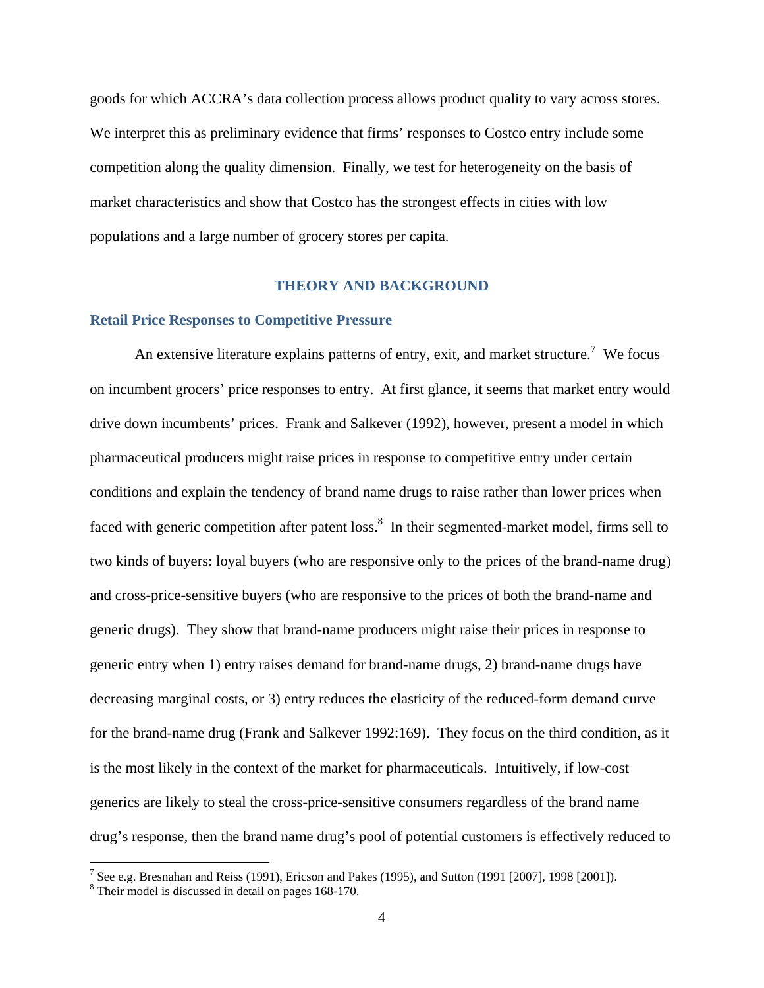goods for which ACCRA's data collection process allows product quality to vary across stores. We interpret this as preliminary evidence that firms' responses to Costco entry include some competition along the quality dimension. Finally, we test for heterogeneity on the basis of market characteristics and show that Costco has the strongest effects in cities with low populations and a large number of grocery stores per capita.

## **THEORY AND BACKGROUND**

### **Retail Price Responses to Competitive Pressure**

An extensive literature explains patterns of entry, exit, and market structure.<sup>7</sup> We focus on incumbent grocers' price responses to entry. At first glance, it seems that market entry would drive down incumbents' prices. Frank and Salkever (1992), however, present a model in which pharmaceutical producers might raise prices in response to competitive entry under certain conditions and explain the tendency of brand name drugs to raise rather than lower prices when faced with generic competition after patent loss.<sup>8</sup> In their segmented-market model, firms sell to two kinds of buyers: loyal buyers (who are responsive only to the prices of the brand-name drug) and cross-price-sensitive buyers (who are responsive to the prices of both the brand-name and generic drugs). They show that brand-name producers might raise their prices in response to generic entry when 1) entry raises demand for brand-name drugs, 2) brand-name drugs have decreasing marginal costs, or 3) entry reduces the elasticity of the reduced-form demand curve for the brand-name drug (Frank and Salkever 1992:169). They focus on the third condition, as it is the most likely in the context of the market for pharmaceuticals. Intuitively, if low-cost generics are likely to steal the cross-price-sensitive consumers regardless of the brand name drug's response, then the brand name drug's pool of potential customers is effectively reduced to

<sup>&</sup>lt;sup>7</sup> See e.g. Bresnahan and Reiss (1991), Ericson and Pakes (1995), and Sutton (1991 [2007], 1998 [2001]).

<sup>&</sup>lt;sup>8</sup> Their model is discussed in detail on pages 168-170.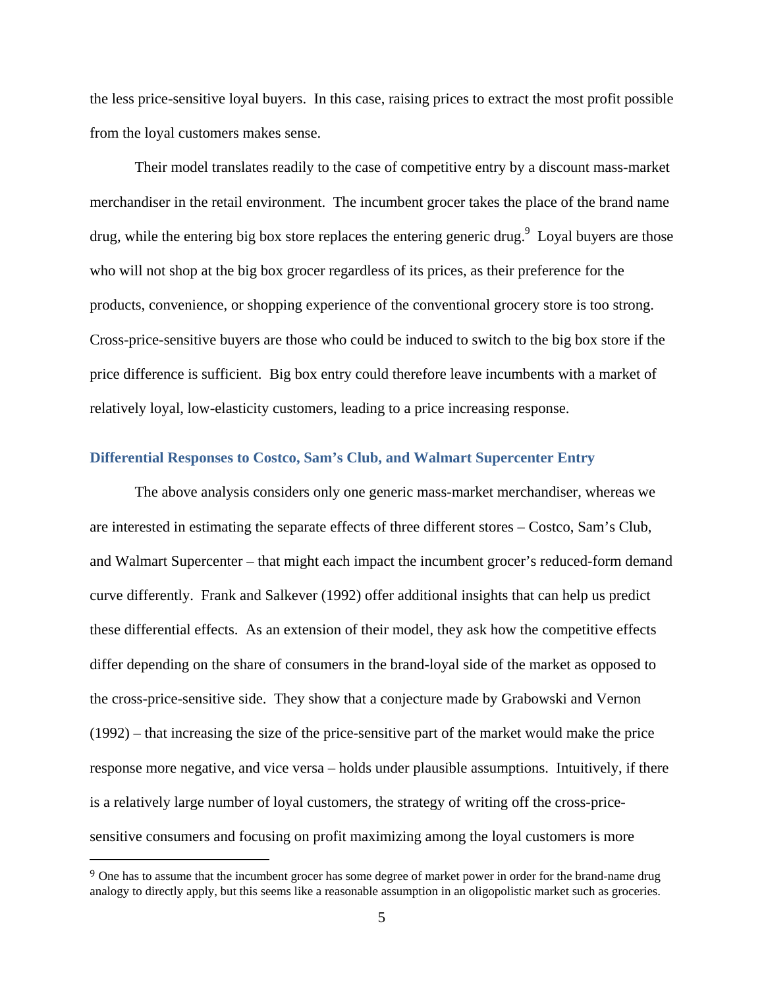the less price-sensitive loyal buyers. In this case, raising prices to extract the most profit possible from the loyal customers makes sense.

 Their model translates readily to the case of competitive entry by a discount mass-market merchandiser in the retail environment. The incumbent grocer takes the place of the brand name drug, while the entering big box store replaces the entering generic drug. Loyal buyers are those who will not shop at the big box grocer regardless of its prices, as their preference for the products, convenience, or shopping experience of the conventional grocery store is too strong. Cross-price-sensitive buyers are those who could be induced to switch to the big box store if the price difference is sufficient. Big box entry could therefore leave incumbents with a market of relatively loyal, low-elasticity customers, leading to a price increasing response.

## **Differential Responses to Costco, Sam's Club, and Walmart Supercenter Entry**

 The above analysis considers only one generic mass-market merchandiser, whereas we are interested in estimating the separate effects of three different stores – Costco, Sam's Club, and Walmart Supercenter – that might each impact the incumbent grocer's reduced-form demand curve differently. Frank and Salkever (1992) offer additional insights that can help us predict these differential effects. As an extension of their model, they ask how the competitive effects differ depending on the share of consumers in the brand-loyal side of the market as opposed to the cross-price-sensitive side. They show that a conjecture made by Grabowski and Vernon (1992) – that increasing the size of the price-sensitive part of the market would make the price response more negative, and vice versa – holds under plausible assumptions. Intuitively, if there is a relatively large number of loyal customers, the strategy of writing off the cross-pricesensitive consumers and focusing on profit maximizing among the loyal customers is more

<sup>&</sup>lt;sup>9</sup> One has to assume that the incumbent grocer has some degree of market power in order for the brand-name drug analogy to directly apply, but this seems like a reasonable assumption in an oligopolistic market such as groceries.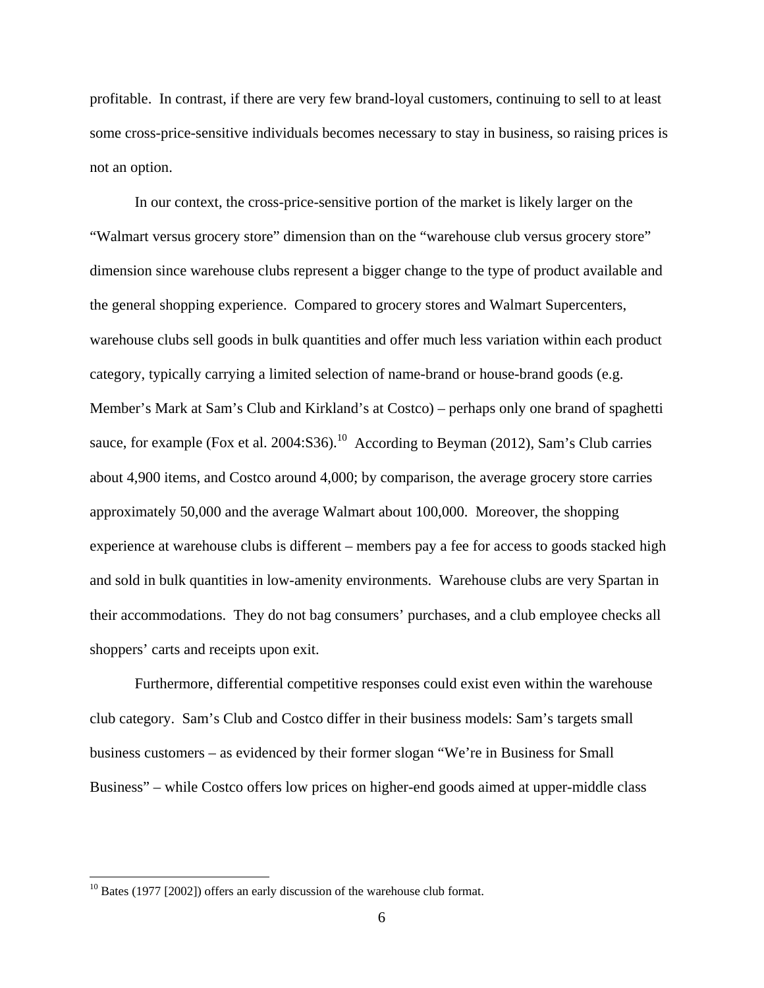profitable. In contrast, if there are very few brand-loyal customers, continuing to sell to at least some cross-price-sensitive individuals becomes necessary to stay in business, so raising prices is not an option.

In our context, the cross-price-sensitive portion of the market is likely larger on the "Walmart versus grocery store" dimension than on the "warehouse club versus grocery store" dimension since warehouse clubs represent a bigger change to the type of product available and the general shopping experience. Compared to grocery stores and Walmart Supercenters, warehouse clubs sell goods in bulk quantities and offer much less variation within each product category, typically carrying a limited selection of name-brand or house-brand goods (e.g. Member's Mark at Sam's Club and Kirkland's at Costco) – perhaps only one brand of spaghetti sauce, for example (Fox et al. 2004:S36).<sup>10</sup> According to Beyman (2012), Sam's Club carries about 4,900 items, and Costco around 4,000; by comparison, the average grocery store carries approximately 50,000 and the average Walmart about 100,000. Moreover, the shopping experience at warehouse clubs is different – members pay a fee for access to goods stacked high and sold in bulk quantities in low-amenity environments. Warehouse clubs are very Spartan in their accommodations. They do not bag consumers' purchases, and a club employee checks all shoppers' carts and receipts upon exit.

Furthermore, differential competitive responses could exist even within the warehouse club category. Sam's Club and Costco differ in their business models: Sam's targets small business customers – as evidenced by their former slogan "We're in Business for Small Business" – while Costco offers low prices on higher-end goods aimed at upper-middle class

 $10$  Bates (1977 [2002]) offers an early discussion of the warehouse club format.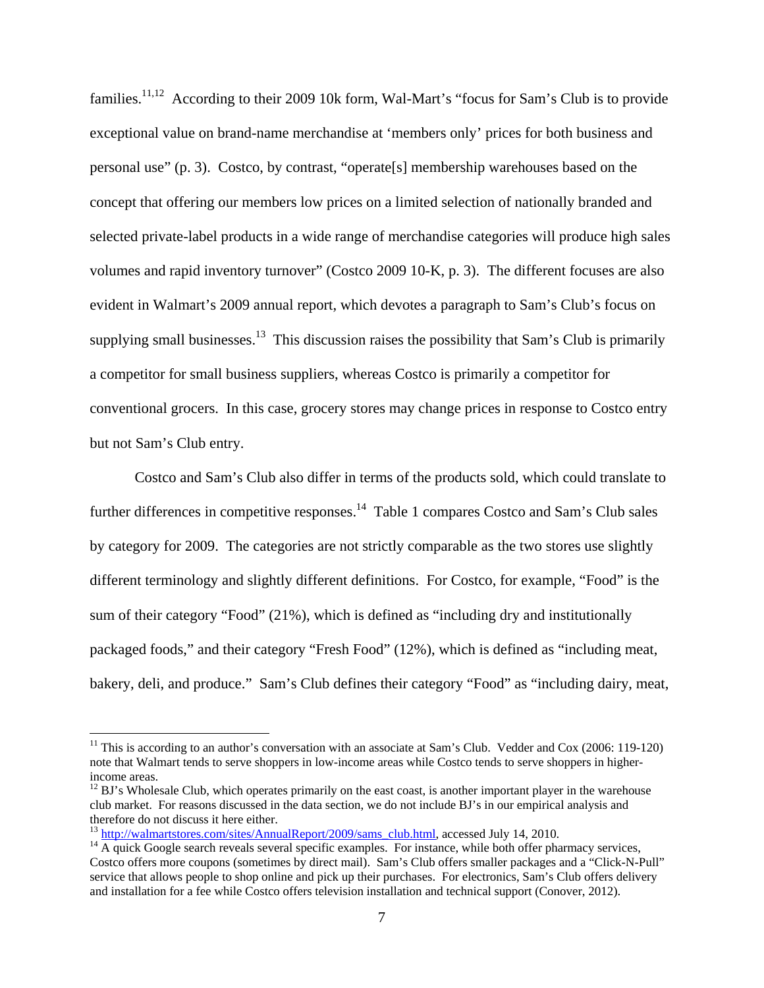families.<sup>11,12</sup> According to their 2009 10k form, Wal-Mart's "focus for Sam's Club is to provide exceptional value on brand-name merchandise at 'members only' prices for both business and personal use" (p. 3). Costco, by contrast, "operate[s] membership warehouses based on the concept that offering our members low prices on a limited selection of nationally branded and selected private-label products in a wide range of merchandise categories will produce high sales volumes and rapid inventory turnover" (Costco 2009 10-K, p. 3). The different focuses are also evident in Walmart's 2009 annual report, which devotes a paragraph to Sam's Club's focus on supplying small businesses.<sup>13</sup> This discussion raises the possibility that Sam's Club is primarily a competitor for small business suppliers, whereas Costco is primarily a competitor for conventional grocers. In this case, grocery stores may change prices in response to Costco entry but not Sam's Club entry.

Costco and Sam's Club also differ in terms of the products sold, which could translate to further differences in competitive responses.<sup>14</sup> Table 1 compares Costco and Sam's Club sales by category for 2009. The categories are not strictly comparable as the two stores use slightly different terminology and slightly different definitions. For Costco, for example, "Food" is the sum of their category "Food" (21%), which is defined as "including dry and institutionally packaged foods," and their category "Fresh Food" (12%), which is defined as "including meat, bakery, deli, and produce." Sam's Club defines their category "Food" as "including dairy, meat,

<sup>&</sup>lt;sup>11</sup> This is according to an author's conversation with an associate at Sam's Club. Vedder and Cox (2006: 119-120) note that Walmart tends to serve shoppers in low-income areas while Costco tends to serve shoppers in higherincome areas.

 $12$  BJ's Wholesale Club, which operates primarily on the east coast, is another important player in the warehouse club market. For reasons discussed in the data section, we do not include BJ's in our empirical analysis and therefore do not discuss it here either.<br><sup>13</sup> http://walmartstores.com/sites/AnnualReport/2009/sams club.html, accessed July 14, 2010.

 $14$  A quick Google search reveals several specific examples. For instance, while both offer pharmacy services, Costco offers more coupons (sometimes by direct mail). Sam's Club offers smaller packages and a "Click-N-Pull" service that allows people to shop online and pick up their purchases. For electronics, Sam's Club offers delivery and installation for a fee while Costco offers television installation and technical support (Conover, 2012).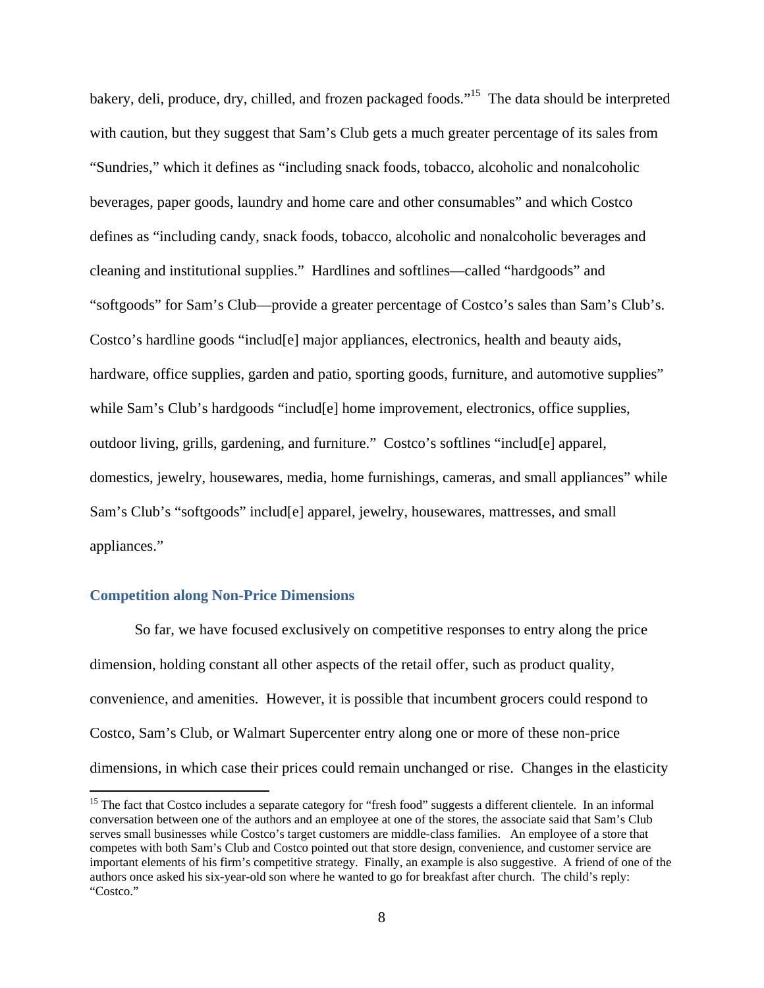bakery, deli, produce, dry, chilled, and frozen packaged foods."15 The data should be interpreted with caution, but they suggest that Sam's Club gets a much greater percentage of its sales from "Sundries," which it defines as "including snack foods, tobacco, alcoholic and nonalcoholic beverages, paper goods, laundry and home care and other consumables" and which Costco defines as "including candy, snack foods, tobacco, alcoholic and nonalcoholic beverages and cleaning and institutional supplies." Hardlines and softlines—called "hardgoods" and "softgoods" for Sam's Club—provide a greater percentage of Costco's sales than Sam's Club's. Costco's hardline goods "includ[e] major appliances, electronics, health and beauty aids, hardware, office supplies, garden and patio, sporting goods, furniture, and automotive supplies" while Sam's Club's hardgoods "includ[e] home improvement, electronics, office supplies, outdoor living, grills, gardening, and furniture." Costco's softlines "includ[e] apparel, domestics, jewelry, housewares, media, home furnishings, cameras, and small appliances" while Sam's Club's "softgoods" includ[e] apparel, jewelry, housewares, mattresses, and small appliances."

## **Competition along Non-Price Dimensions**

 

So far, we have focused exclusively on competitive responses to entry along the price dimension, holding constant all other aspects of the retail offer, such as product quality, convenience, and amenities. However, it is possible that incumbent grocers could respond to Costco, Sam's Club, or Walmart Supercenter entry along one or more of these non-price dimensions, in which case their prices could remain unchanged or rise. Changes in the elasticity

<sup>&</sup>lt;sup>15</sup> The fact that Costco includes a separate category for "fresh food" suggests a different clientele. In an informal conversation between one of the authors and an employee at one of the stores, the associate said that Sam's Club serves small businesses while Costco's target customers are middle-class families. An employee of a store that competes with both Sam's Club and Costco pointed out that store design, convenience, and customer service are important elements of his firm's competitive strategy. Finally, an example is also suggestive. A friend of one of the authors once asked his six-year-old son where he wanted to go for breakfast after church. The child's reply: "Costco."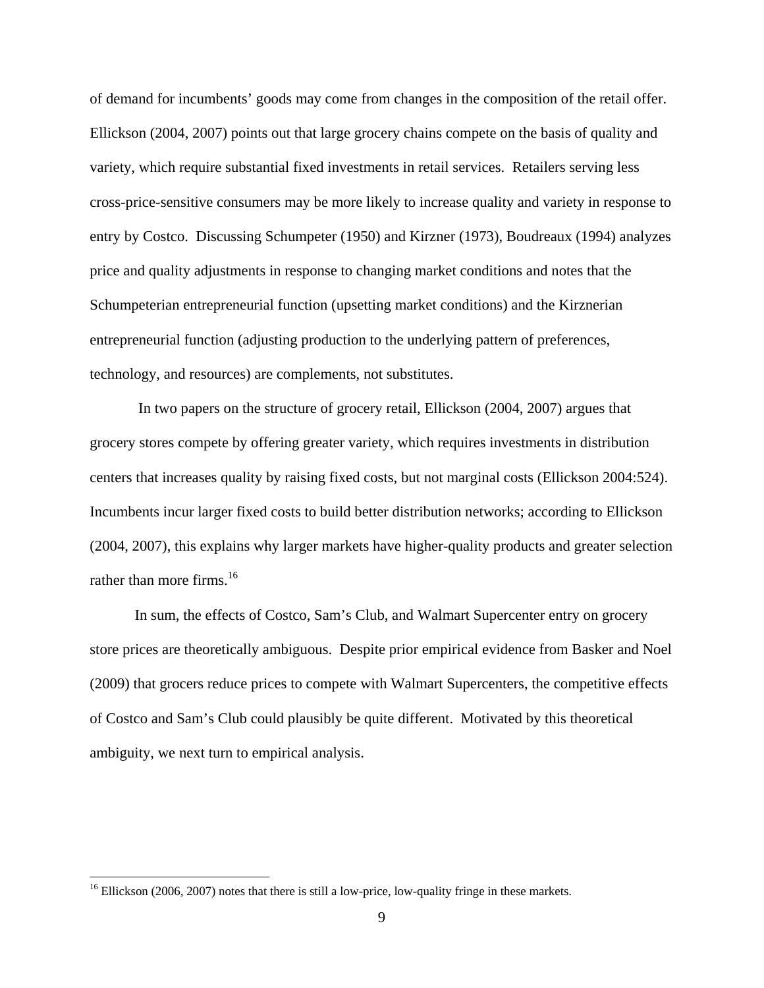of demand for incumbents' goods may come from changes in the composition of the retail offer. Ellickson (2004, 2007) points out that large grocery chains compete on the basis of quality and variety, which require substantial fixed investments in retail services. Retailers serving less cross-price-sensitive consumers may be more likely to increase quality and variety in response to entry by Costco. Discussing Schumpeter (1950) and Kirzner (1973), Boudreaux (1994) analyzes price and quality adjustments in response to changing market conditions and notes that the Schumpeterian entrepreneurial function (upsetting market conditions) and the Kirznerian entrepreneurial function (adjusting production to the underlying pattern of preferences, technology, and resources) are complements, not substitutes.

 In two papers on the structure of grocery retail, Ellickson (2004, 2007) argues that grocery stores compete by offering greater variety, which requires investments in distribution centers that increases quality by raising fixed costs, but not marginal costs (Ellickson 2004:524). Incumbents incur larger fixed costs to build better distribution networks; according to Ellickson (2004, 2007), this explains why larger markets have higher-quality products and greater selection rather than more firms.<sup>16</sup>

In sum, the effects of Costco, Sam's Club, and Walmart Supercenter entry on grocery store prices are theoretically ambiguous. Despite prior empirical evidence from Basker and Noel (2009) that grocers reduce prices to compete with Walmart Supercenters, the competitive effects of Costco and Sam's Club could plausibly be quite different. Motivated by this theoretical ambiguity, we next turn to empirical analysis.

 $16$  Ellickson (2006, 2007) notes that there is still a low-price, low-quality fringe in these markets.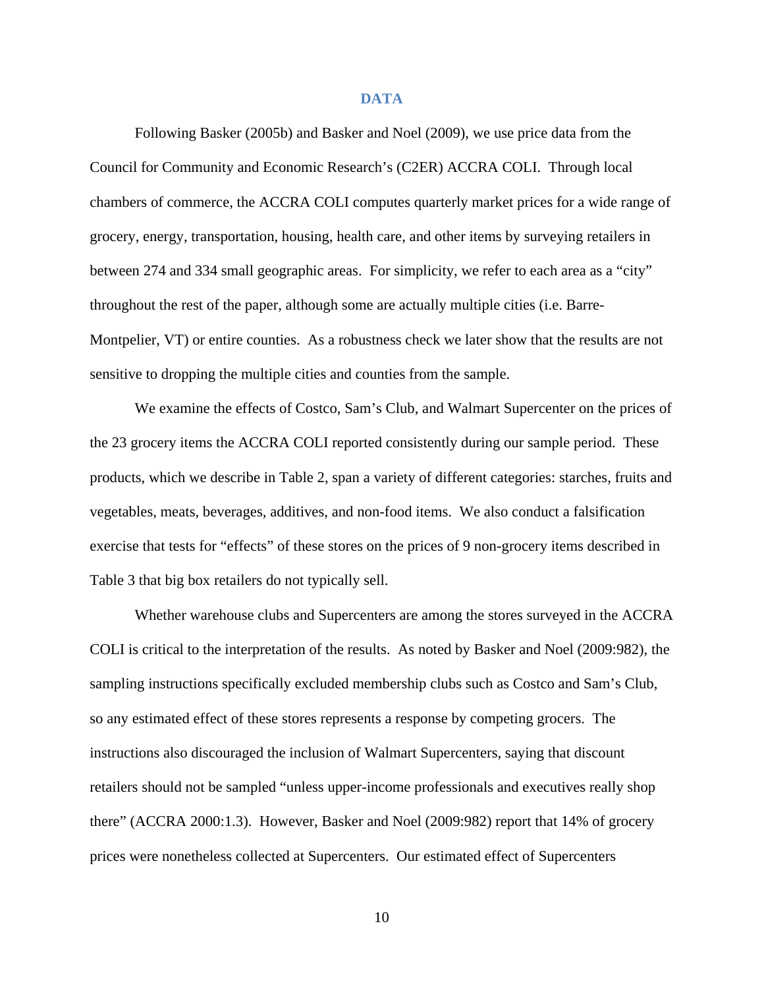#### **DATA**

Following Basker (2005b) and Basker and Noel (2009), we use price data from the Council for Community and Economic Research's (C2ER) ACCRA COLI. Through local chambers of commerce, the ACCRA COLI computes quarterly market prices for a wide range of grocery, energy, transportation, housing, health care, and other items by surveying retailers in between 274 and 334 small geographic areas. For simplicity, we refer to each area as a "city" throughout the rest of the paper, although some are actually multiple cities (i.e. Barre-Montpelier, VT) or entire counties. As a robustness check we later show that the results are not sensitive to dropping the multiple cities and counties from the sample.

We examine the effects of Costco, Sam's Club, and Walmart Supercenter on the prices of the 23 grocery items the ACCRA COLI reported consistently during our sample period. These products, which we describe in Table 2, span a variety of different categories: starches, fruits and vegetables, meats, beverages, additives, and non-food items. We also conduct a falsification exercise that tests for "effects" of these stores on the prices of 9 non-grocery items described in Table 3 that big box retailers do not typically sell.

Whether warehouse clubs and Supercenters are among the stores surveyed in the ACCRA COLI is critical to the interpretation of the results. As noted by Basker and Noel (2009:982), the sampling instructions specifically excluded membership clubs such as Costco and Sam's Club, so any estimated effect of these stores represents a response by competing grocers. The instructions also discouraged the inclusion of Walmart Supercenters, saying that discount retailers should not be sampled "unless upper-income professionals and executives really shop there" (ACCRA 2000:1.3). However, Basker and Noel (2009:982) report that 14% of grocery prices were nonetheless collected at Supercenters. Our estimated effect of Supercenters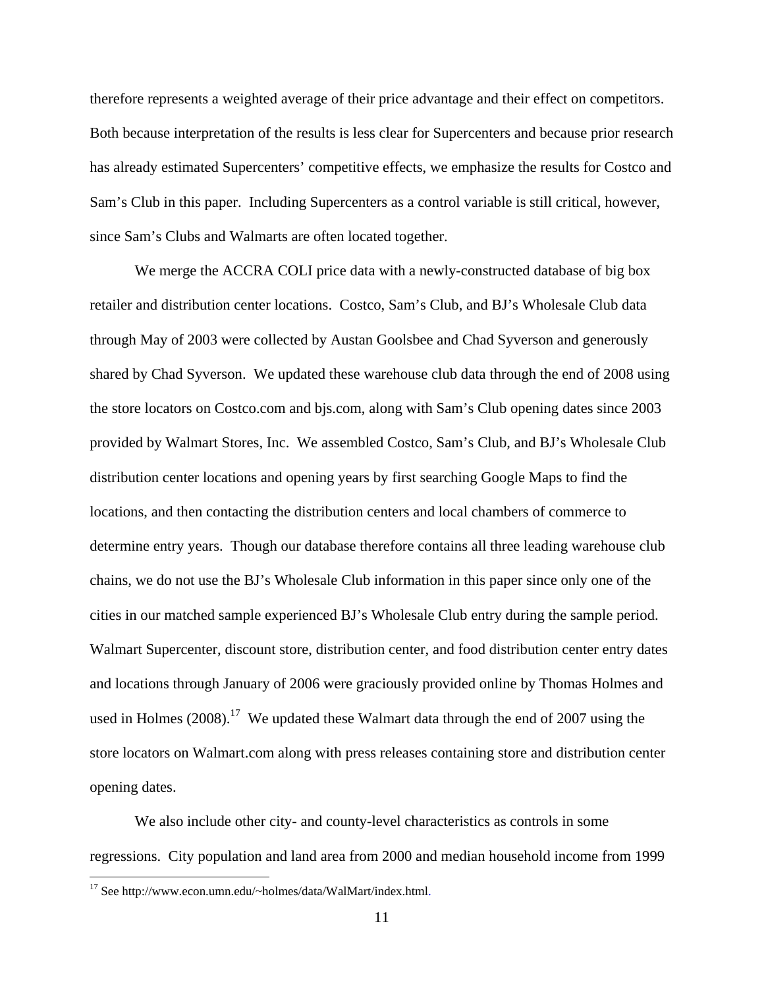therefore represents a weighted average of their price advantage and their effect on competitors. Both because interpretation of the results is less clear for Supercenters and because prior research has already estimated Supercenters' competitive effects, we emphasize the results for Costco and Sam's Club in this paper. Including Supercenters as a control variable is still critical, however, since Sam's Clubs and Walmarts are often located together.

We merge the ACCRA COLI price data with a newly-constructed database of big box retailer and distribution center locations. Costco, Sam's Club, and BJ's Wholesale Club data through May of 2003 were collected by Austan Goolsbee and Chad Syverson and generously shared by Chad Syverson. We updated these warehouse club data through the end of 2008 using the store locators on Costco.com and bjs.com, along with Sam's Club opening dates since 2003 provided by Walmart Stores, Inc. We assembled Costco, Sam's Club, and BJ's Wholesale Club distribution center locations and opening years by first searching Google Maps to find the locations, and then contacting the distribution centers and local chambers of commerce to determine entry years. Though our database therefore contains all three leading warehouse club chains, we do not use the BJ's Wholesale Club information in this paper since only one of the cities in our matched sample experienced BJ's Wholesale Club entry during the sample period. Walmart Supercenter, discount store, distribution center, and food distribution center entry dates and locations through January of 2006 were graciously provided online by Thomas Holmes and used in Holmes (2008).<sup>17</sup> We updated these Walmart data through the end of 2007 using the store locators on Walmart.com along with press releases containing store and distribution center opening dates.

We also include other city- and county-level characteristics as controls in some regressions. City population and land area from 2000 and median household income from 1999

<sup>&</sup>lt;sup>17</sup> See http://www.econ.umn.edu/~holmes/data/WalMart/index.html.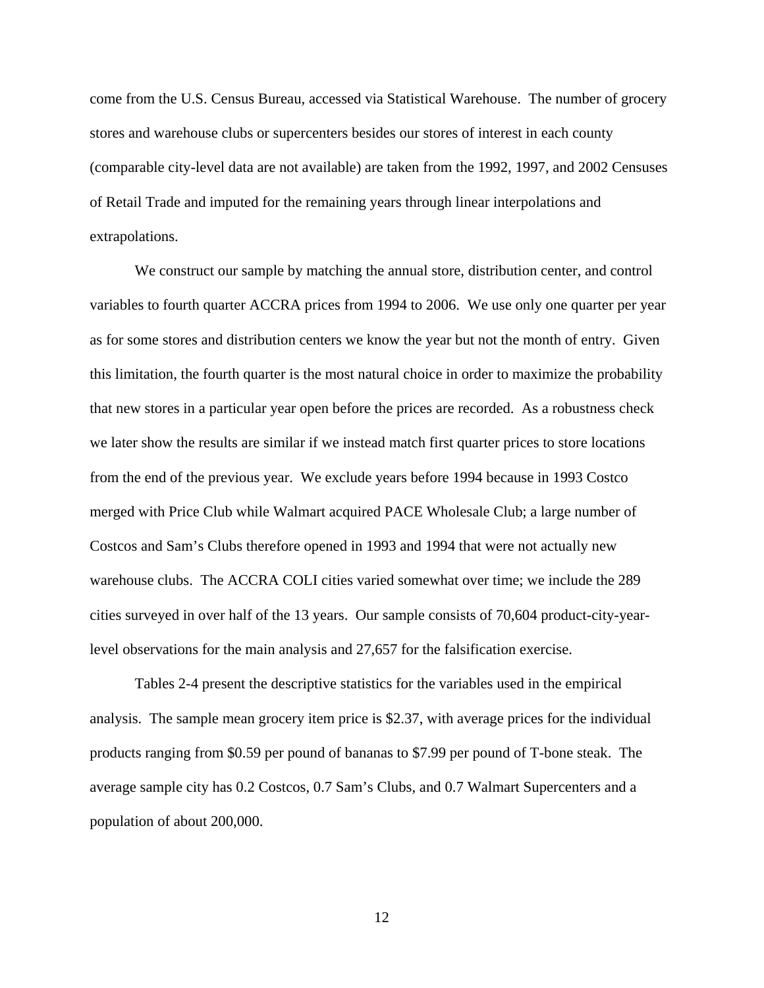come from the U.S. Census Bureau, accessed via Statistical Warehouse. The number of grocery stores and warehouse clubs or supercenters besides our stores of interest in each county (comparable city-level data are not available) are taken from the 1992, 1997, and 2002 Censuses of Retail Trade and imputed for the remaining years through linear interpolations and extrapolations.

 We construct our sample by matching the annual store, distribution center, and control variables to fourth quarter ACCRA prices from 1994 to 2006. We use only one quarter per year as for some stores and distribution centers we know the year but not the month of entry. Given this limitation, the fourth quarter is the most natural choice in order to maximize the probability that new stores in a particular year open before the prices are recorded. As a robustness check we later show the results are similar if we instead match first quarter prices to store locations from the end of the previous year. We exclude years before 1994 because in 1993 Costco merged with Price Club while Walmart acquired PACE Wholesale Club; a large number of Costcos and Sam's Clubs therefore opened in 1993 and 1994 that were not actually new warehouse clubs. The ACCRA COLI cities varied somewhat over time; we include the 289 cities surveyed in over half of the 13 years. Our sample consists of 70,604 product-city-yearlevel observations for the main analysis and 27,657 for the falsification exercise.

Tables 2-4 present the descriptive statistics for the variables used in the empirical analysis. The sample mean grocery item price is \$2.37, with average prices for the individual products ranging from \$0.59 per pound of bananas to \$7.99 per pound of T-bone steak. The average sample city has 0.2 Costcos, 0.7 Sam's Clubs, and 0.7 Walmart Supercenters and a population of about 200,000.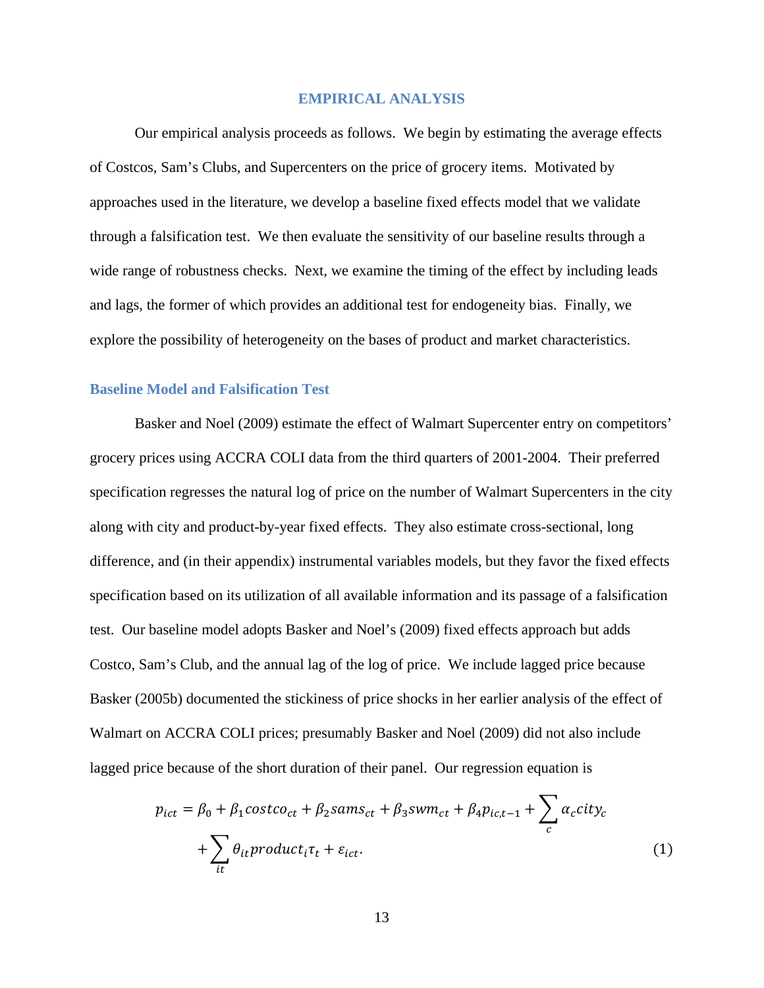## **EMPIRICAL ANALYSIS**

Our empirical analysis proceeds as follows. We begin by estimating the average effects of Costcos, Sam's Clubs, and Supercenters on the price of grocery items. Motivated by approaches used in the literature, we develop a baseline fixed effects model that we validate through a falsification test. We then evaluate the sensitivity of our baseline results through a wide range of robustness checks. Next, we examine the timing of the effect by including leads and lags, the former of which provides an additional test for endogeneity bias. Finally, we explore the possibility of heterogeneity on the bases of product and market characteristics.

#### **Baseline Model and Falsification Test**

Basker and Noel (2009) estimate the effect of Walmart Supercenter entry on competitors' grocery prices using ACCRA COLI data from the third quarters of 2001-2004. Their preferred specification regresses the natural log of price on the number of Walmart Supercenters in the city along with city and product-by-year fixed effects. They also estimate cross-sectional, long difference, and (in their appendix) instrumental variables models, but they favor the fixed effects specification based on its utilization of all available information and its passage of a falsification test. Our baseline model adopts Basker and Noel's (2009) fixed effects approach but adds Costco, Sam's Club, and the annual lag of the log of price. We include lagged price because Basker (2005b) documented the stickiness of price shocks in her earlier analysis of the effect of Walmart on ACCRA COLI prices; presumably Basker and Noel (2009) did not also include lagged price because of the short duration of their panel. Our regression equation is

$$
p_{ict} = \beta_0 + \beta_1 cost \cdot c_{ct} + \beta_2 sams_{ct} + \beta_3 swm_{ct} + \beta_4 p_{ic,t-1} + \sum_c \alpha_c city_c
$$
  
+ 
$$
\sum_{it} \theta_{it} product_i \tau_t + \varepsilon_{ict}.
$$
 (1)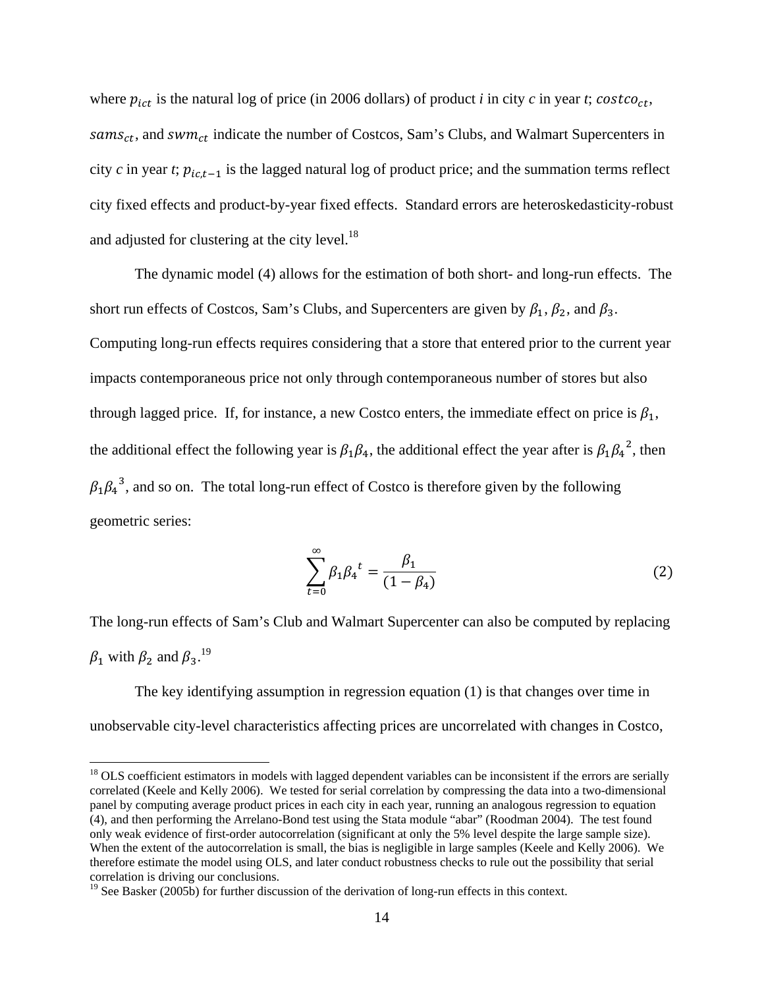where  $p_{ict}$  is the natural log of price (in 2006 dollars) of product *i* in city *c* in year *t*; *costco<sub>ct</sub>*,  $sams_{ct}$ , and  $swm_{ct}$  indicate the number of Costcos, Sam's Clubs, and Walmart Supercenters in city  $c$  in year  $t$ ;  $p_{ic,t-1}$  is the lagged natural log of product price; and the summation terms reflect city fixed effects and product-by-year fixed effects. Standard errors are heteroskedasticity-robust and adjusted for clustering at the city level.<sup>18</sup>

 The dynamic model (4) allows for the estimation of both short- and long-run effects. The short run effects of Costcos, Sam's Clubs, and Supercenters are given by  $\beta_1$ ,  $\beta_2$ , and  $\beta_3$ . Computing long-run effects requires considering that a store that entered prior to the current year impacts contemporaneous price not only through contemporaneous number of stores but also through lagged price. If, for instance, a new Costco enters, the immediate effect on price is  $\beta_1$ , the additional effect the following year is  $\beta_1\beta_4$ , the additional effect the year after is  $\beta_1\beta_4^2$ , then  $\beta_1 \beta_4^3$ , and so on. The total long-run effect of Costco is therefore given by the following geometric series:

$$
\sum_{t=0}^{\infty} \beta_1 \beta_4^t = \frac{\beta_1}{(1 - \beta_4)}
$$
 (2)

The long-run effects of Sam's Club and Walmart Supercenter can also be computed by replacing  $\beta_1$  with  $\beta_2$  and  $\beta_3$ .<sup>19</sup>

The key identifying assumption in regression equation (1) is that changes over time in unobservable city-level characteristics affecting prices are uncorrelated with changes in Costco,

 $18$  OLS coefficient estimators in models with lagged dependent variables can be inconsistent if the errors are serially correlated (Keele and Kelly 2006). We tested for serial correlation by compressing the data into a two-dimensional panel by computing average product prices in each city in each year, running an analogous regression to equation (4), and then performing the Arrelano-Bond test using the Stata module "abar" (Roodman 2004). The test found only weak evidence of first-order autocorrelation (significant at only the 5% level despite the large sample size). When the extent of the autocorrelation is small, the bias is negligible in large samples (Keele and Kelly 2006). We therefore estimate the model using OLS, and later conduct robustness checks to rule out the possibility that serial correlation is driving our conclusions.

<sup>&</sup>lt;sup>19</sup> See Basker (2005b) for further discussion of the derivation of long-run effects in this context.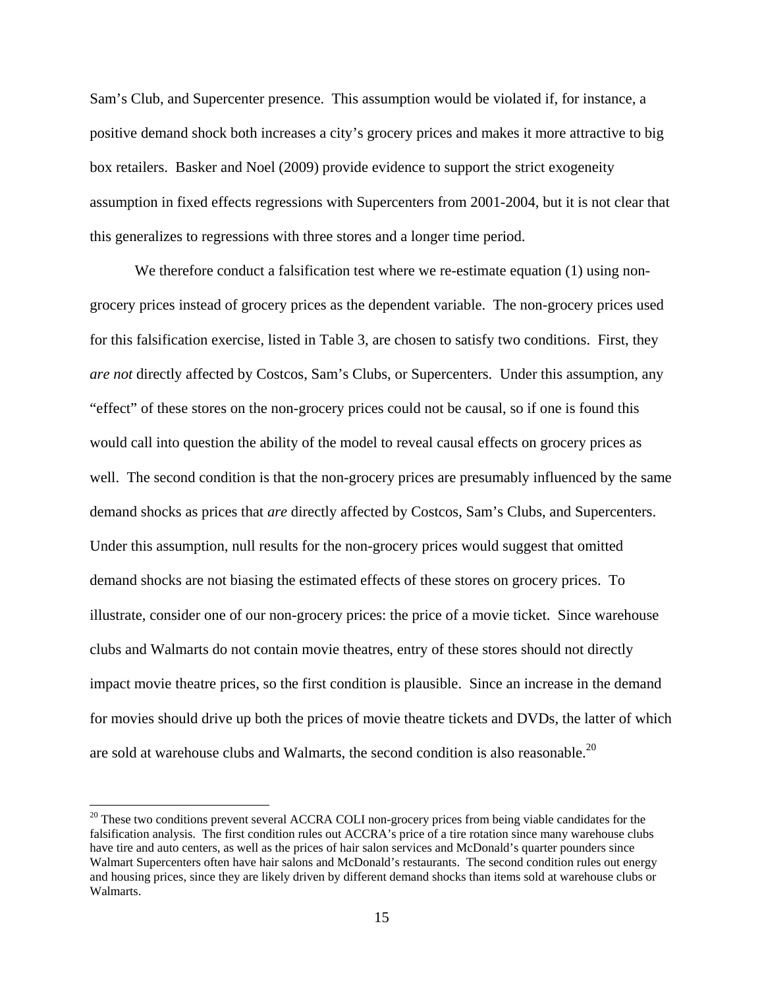Sam's Club, and Supercenter presence. This assumption would be violated if, for instance, a positive demand shock both increases a city's grocery prices and makes it more attractive to big box retailers. Basker and Noel (2009) provide evidence to support the strict exogeneity assumption in fixed effects regressions with Supercenters from 2001-2004, but it is not clear that this generalizes to regressions with three stores and a longer time period.

We therefore conduct a falsification test where we re-estimate equation (1) using nongrocery prices instead of grocery prices as the dependent variable. The non-grocery prices used for this falsification exercise, listed in Table 3, are chosen to satisfy two conditions. First, they *are not* directly affected by Costcos, Sam's Clubs, or Supercenters. Under this assumption, any "effect" of these stores on the non-grocery prices could not be causal, so if one is found this would call into question the ability of the model to reveal causal effects on grocery prices as well. The second condition is that the non-grocery prices are presumably influenced by the same demand shocks as prices that *are* directly affected by Costcos, Sam's Clubs, and Supercenters. Under this assumption, null results for the non-grocery prices would suggest that omitted demand shocks are not biasing the estimated effects of these stores on grocery prices. To illustrate, consider one of our non-grocery prices: the price of a movie ticket. Since warehouse clubs and Walmarts do not contain movie theatres, entry of these stores should not directly impact movie theatre prices, so the first condition is plausible. Since an increase in the demand for movies should drive up both the prices of movie theatre tickets and DVDs, the latter of which are sold at warehouse clubs and Walmarts, the second condition is also reasonable.<sup>20</sup>

<sup>&</sup>lt;sup>20</sup> These two conditions prevent several ACCRA COLI non-grocery prices from being viable candidates for the falsification analysis. The first condition rules out ACCRA's price of a tire rotation since many warehouse clubs have tire and auto centers, as well as the prices of hair salon services and McDonald's quarter pounders since Walmart Supercenters often have hair salons and McDonald's restaurants. The second condition rules out energy and housing prices, since they are likely driven by different demand shocks than items sold at warehouse clubs or Walmarts.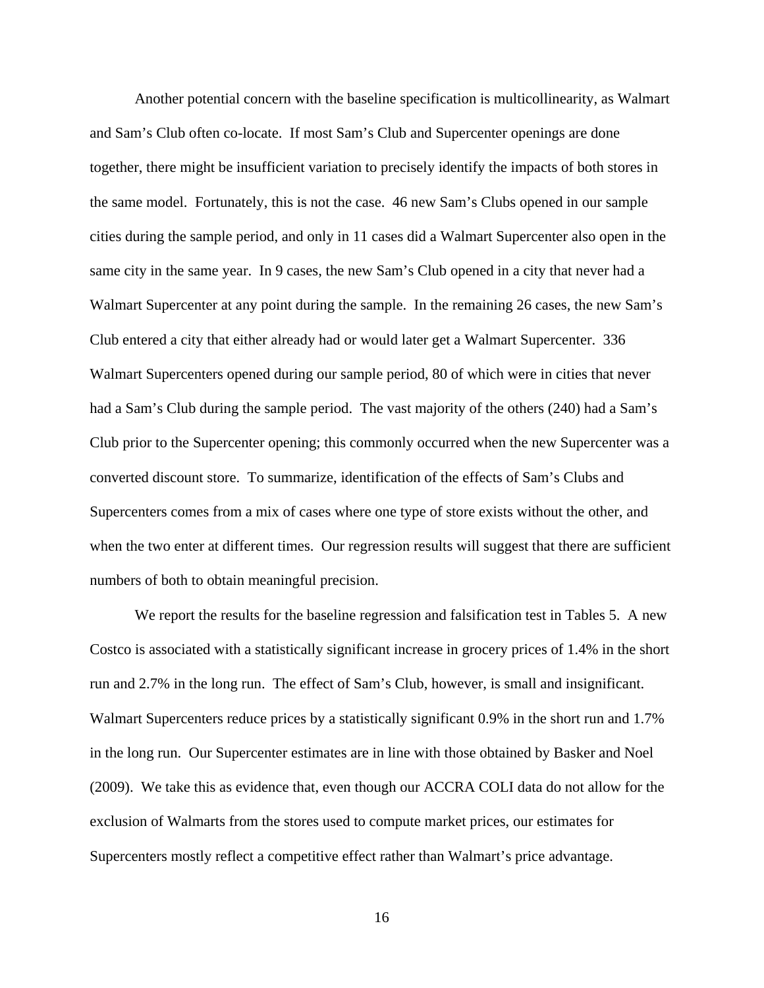Another potential concern with the baseline specification is multicollinearity, as Walmart and Sam's Club often co-locate. If most Sam's Club and Supercenter openings are done together, there might be insufficient variation to precisely identify the impacts of both stores in the same model. Fortunately, this is not the case. 46 new Sam's Clubs opened in our sample cities during the sample period, and only in 11 cases did a Walmart Supercenter also open in the same city in the same year. In 9 cases, the new Sam's Club opened in a city that never had a Walmart Supercenter at any point during the sample. In the remaining 26 cases, the new Sam's Club entered a city that either already had or would later get a Walmart Supercenter. 336 Walmart Supercenters opened during our sample period, 80 of which were in cities that never had a Sam's Club during the sample period. The vast majority of the others (240) had a Sam's Club prior to the Supercenter opening; this commonly occurred when the new Supercenter was a converted discount store. To summarize, identification of the effects of Sam's Clubs and Supercenters comes from a mix of cases where one type of store exists without the other, and when the two enter at different times. Our regression results will suggest that there are sufficient numbers of both to obtain meaningful precision.

We report the results for the baseline regression and falsification test in Tables 5. A new Costco is associated with a statistically significant increase in grocery prices of 1.4% in the short run and 2.7% in the long run. The effect of Sam's Club, however, is small and insignificant. Walmart Supercenters reduce prices by a statistically significant 0.9% in the short run and 1.7% in the long run. Our Supercenter estimates are in line with those obtained by Basker and Noel (2009). We take this as evidence that, even though our ACCRA COLI data do not allow for the exclusion of Walmarts from the stores used to compute market prices, our estimates for Supercenters mostly reflect a competitive effect rather than Walmart's price advantage.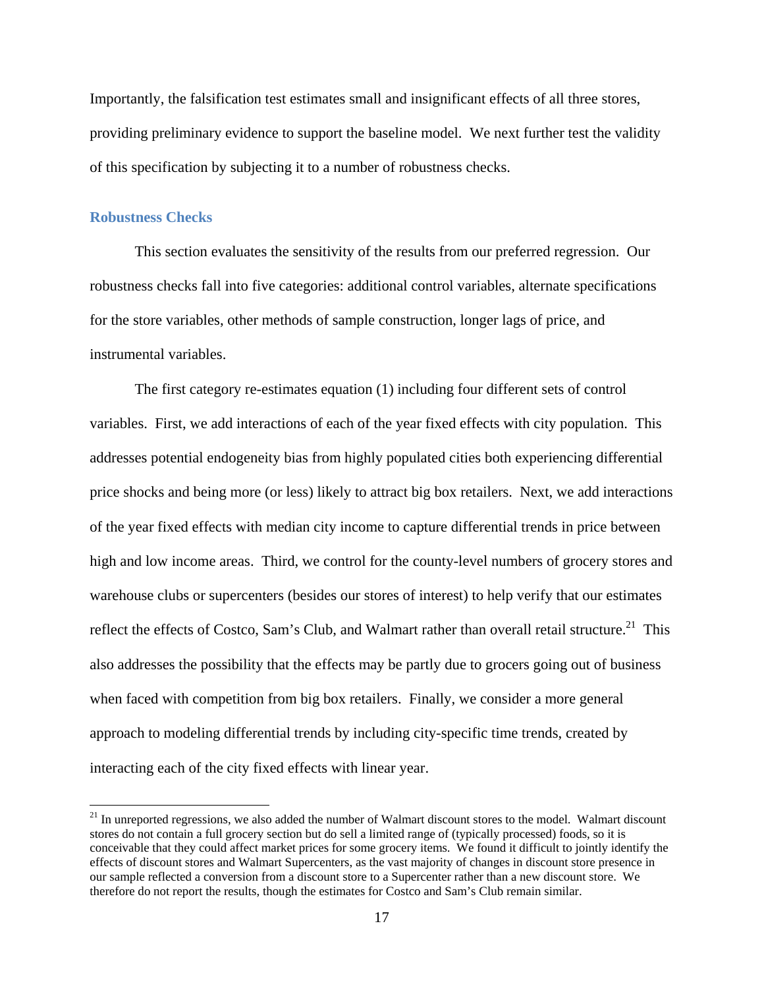Importantly, the falsification test estimates small and insignificant effects of all three stores, providing preliminary evidence to support the baseline model. We next further test the validity of this specification by subjecting it to a number of robustness checks.

## **Robustness Checks**

 

This section evaluates the sensitivity of the results from our preferred regression. Our robustness checks fall into five categories: additional control variables, alternate specifications for the store variables, other methods of sample construction, longer lags of price, and instrumental variables.

The first category re-estimates equation (1) including four different sets of control variables. First, we add interactions of each of the year fixed effects with city population. This addresses potential endogeneity bias from highly populated cities both experiencing differential price shocks and being more (or less) likely to attract big box retailers. Next, we add interactions of the year fixed effects with median city income to capture differential trends in price between high and low income areas. Third, we control for the county-level numbers of grocery stores and warehouse clubs or supercenters (besides our stores of interest) to help verify that our estimates reflect the effects of Costco, Sam's Club, and Walmart rather than overall retail structure.<sup>21</sup> This also addresses the possibility that the effects may be partly due to grocers going out of business when faced with competition from big box retailers. Finally, we consider a more general approach to modeling differential trends by including city-specific time trends, created by interacting each of the city fixed effects with linear year.

 $21$  In unreported regressions, we also added the number of Walmart discount stores to the model. Walmart discount stores do not contain a full grocery section but do sell a limited range of (typically processed) foods, so it is conceivable that they could affect market prices for some grocery items. We found it difficult to jointly identify the effects of discount stores and Walmart Supercenters, as the vast majority of changes in discount store presence in our sample reflected a conversion from a discount store to a Supercenter rather than a new discount store. We therefore do not report the results, though the estimates for Costco and Sam's Club remain similar.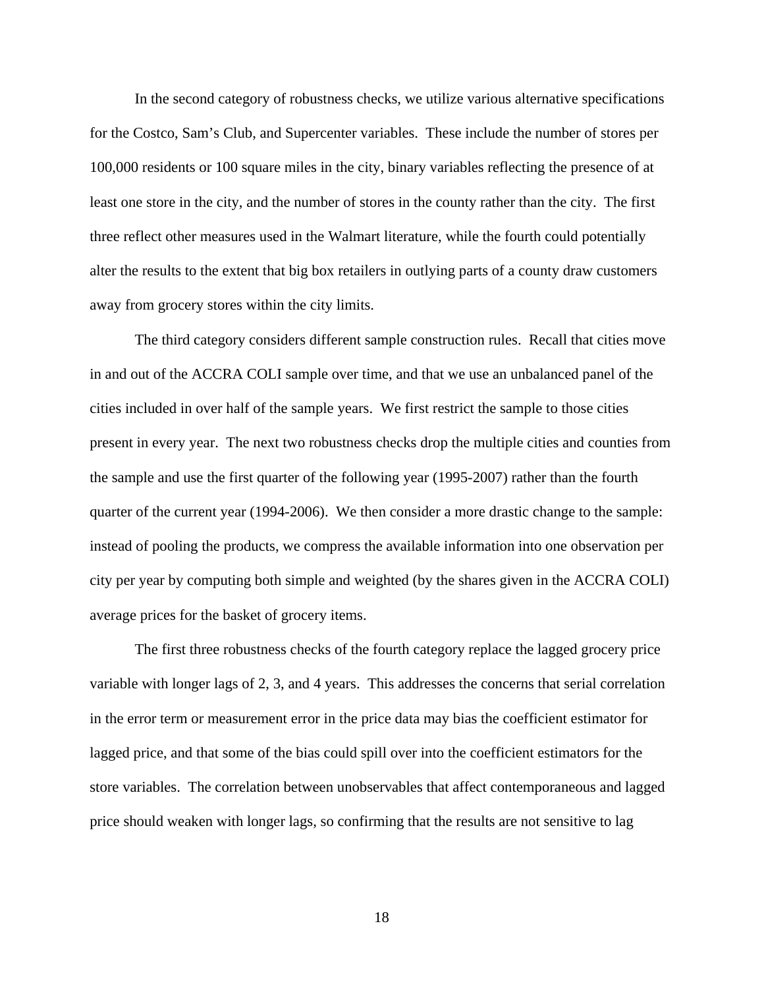In the second category of robustness checks, we utilize various alternative specifications for the Costco, Sam's Club, and Supercenter variables. These include the number of stores per 100,000 residents or 100 square miles in the city, binary variables reflecting the presence of at least one store in the city, and the number of stores in the county rather than the city. The first three reflect other measures used in the Walmart literature, while the fourth could potentially alter the results to the extent that big box retailers in outlying parts of a county draw customers away from grocery stores within the city limits.

 The third category considers different sample construction rules. Recall that cities move in and out of the ACCRA COLI sample over time, and that we use an unbalanced panel of the cities included in over half of the sample years. We first restrict the sample to those cities present in every year. The next two robustness checks drop the multiple cities and counties from the sample and use the first quarter of the following year (1995-2007) rather than the fourth quarter of the current year (1994-2006). We then consider a more drastic change to the sample: instead of pooling the products, we compress the available information into one observation per city per year by computing both simple and weighted (by the shares given in the ACCRA COLI) average prices for the basket of grocery items.

 The first three robustness checks of the fourth category replace the lagged grocery price variable with longer lags of 2, 3, and 4 years. This addresses the concerns that serial correlation in the error term or measurement error in the price data may bias the coefficient estimator for lagged price, and that some of the bias could spill over into the coefficient estimators for the store variables. The correlation between unobservables that affect contemporaneous and lagged price should weaken with longer lags, so confirming that the results are not sensitive to lag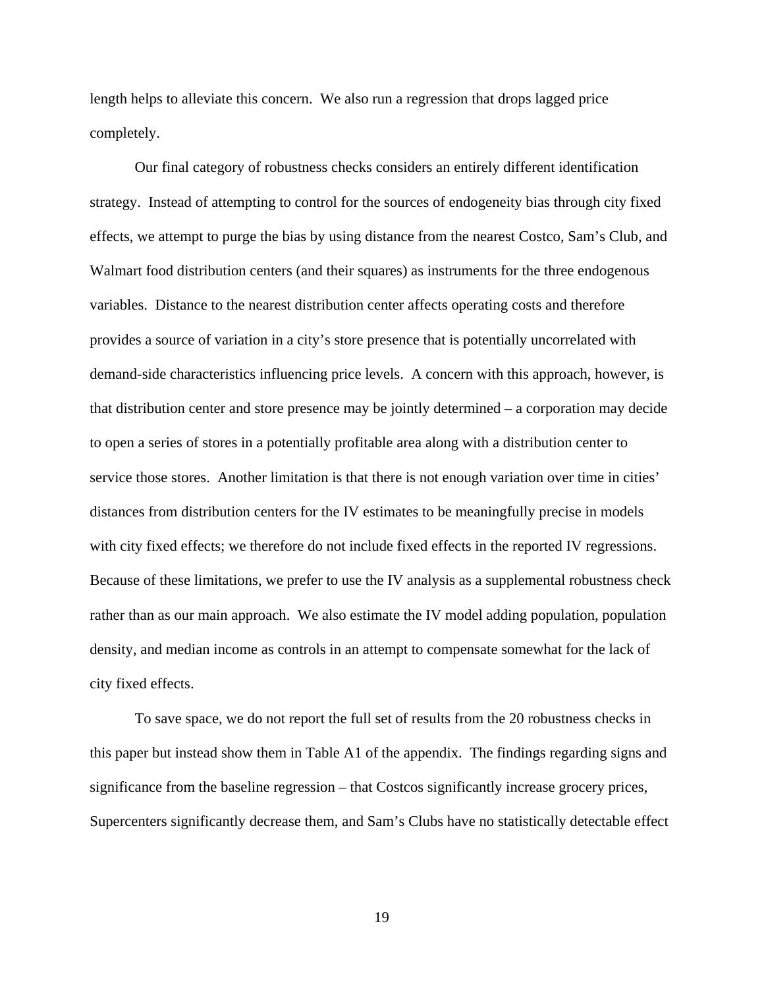length helps to alleviate this concern. We also run a regression that drops lagged price completely.

 Our final category of robustness checks considers an entirely different identification strategy. Instead of attempting to control for the sources of endogeneity bias through city fixed effects, we attempt to purge the bias by using distance from the nearest Costco, Sam's Club, and Walmart food distribution centers (and their squares) as instruments for the three endogenous variables. Distance to the nearest distribution center affects operating costs and therefore provides a source of variation in a city's store presence that is potentially uncorrelated with demand-side characteristics influencing price levels. A concern with this approach, however, is that distribution center and store presence may be jointly determined – a corporation may decide to open a series of stores in a potentially profitable area along with a distribution center to service those stores. Another limitation is that there is not enough variation over time in cities' distances from distribution centers for the IV estimates to be meaningfully precise in models with city fixed effects; we therefore do not include fixed effects in the reported IV regressions. Because of these limitations, we prefer to use the IV analysis as a supplemental robustness check rather than as our main approach. We also estimate the IV model adding population, population density, and median income as controls in an attempt to compensate somewhat for the lack of city fixed effects.

 To save space, we do not report the full set of results from the 20 robustness checks in this paper but instead show them in Table A1 of the appendix. The findings regarding signs and significance from the baseline regression – that Costcos significantly increase grocery prices, Supercenters significantly decrease them, and Sam's Clubs have no statistically detectable effect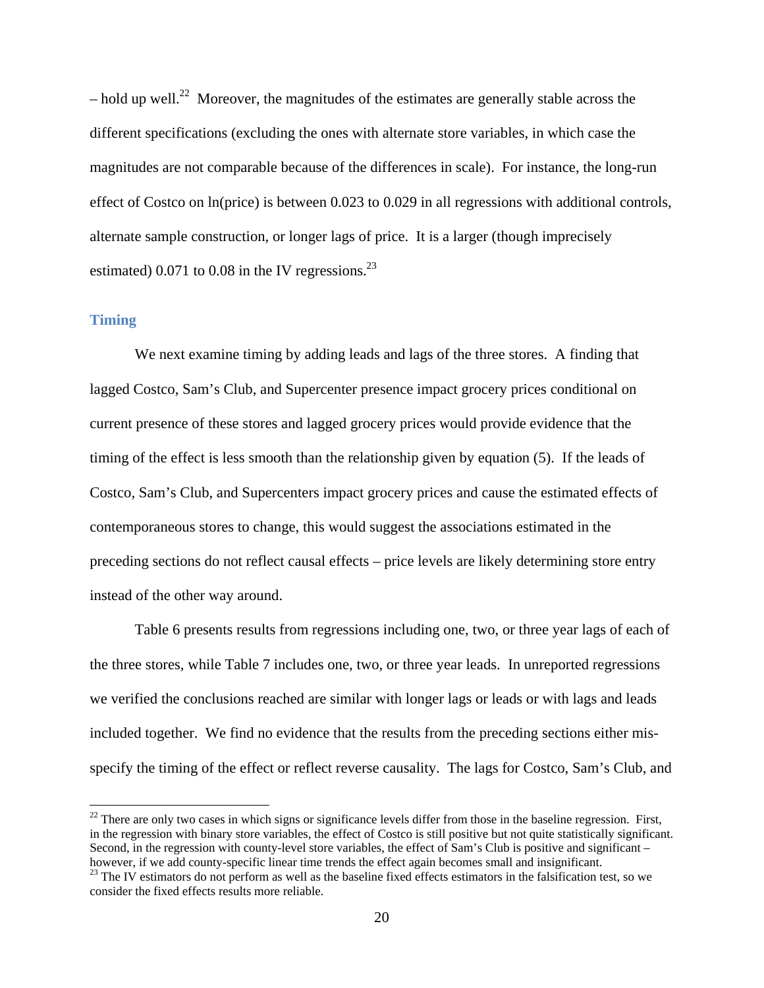$-$  hold up well.<sup>22</sup> Moreover, the magnitudes of the estimates are generally stable across the different specifications (excluding the ones with alternate store variables, in which case the magnitudes are not comparable because of the differences in scale). For instance, the long-run effect of Costco on ln(price) is between 0.023 to 0.029 in all regressions with additional controls, alternate sample construction, or longer lags of price. It is a larger (though imprecisely estimated) 0.071 to 0.08 in the IV regressions. $^{23}$ 

## **Timing**

 

 We next examine timing by adding leads and lags of the three stores. A finding that lagged Costco, Sam's Club, and Supercenter presence impact grocery prices conditional on current presence of these stores and lagged grocery prices would provide evidence that the timing of the effect is less smooth than the relationship given by equation (5). If the leads of Costco, Sam's Club, and Supercenters impact grocery prices and cause the estimated effects of contemporaneous stores to change, this would suggest the associations estimated in the preceding sections do not reflect causal effects – price levels are likely determining store entry instead of the other way around.

 Table 6 presents results from regressions including one, two, or three year lags of each of the three stores, while Table 7 includes one, two, or three year leads. In unreported regressions we verified the conclusions reached are similar with longer lags or leads or with lags and leads included together. We find no evidence that the results from the preceding sections either misspecify the timing of the effect or reflect reverse causality. The lags for Costco, Sam's Club, and

 $^{22}$  There are only two cases in which signs or significance levels differ from those in the baseline regression. First, in the regression with binary store variables, the effect of Costco is still positive but not quite statistically significant. Second, in the regression with county-level store variables, the effect of Sam's Club is positive and significant –

however, if we add county-specific linear time trends the effect again becomes small and insignificant.<br><sup>23</sup> The IV estimators do not perform as well as the baseline fixed effects estimators in the falsification test, so w consider the fixed effects results more reliable.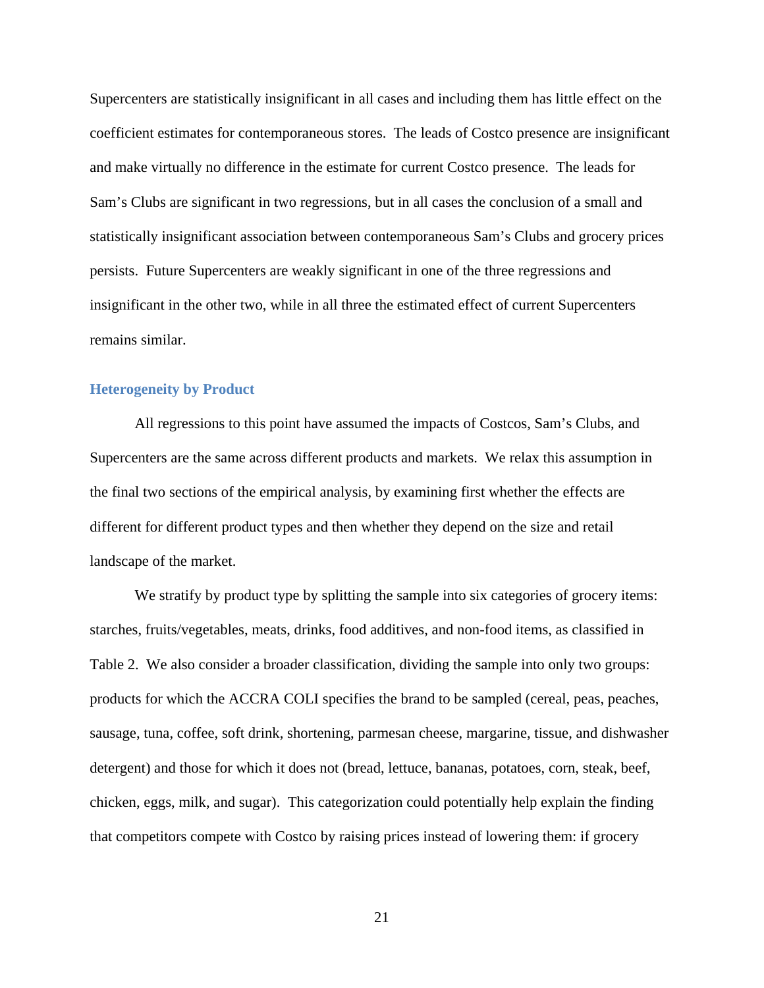Supercenters are statistically insignificant in all cases and including them has little effect on the coefficient estimates for contemporaneous stores. The leads of Costco presence are insignificant and make virtually no difference in the estimate for current Costco presence. The leads for Sam's Clubs are significant in two regressions, but in all cases the conclusion of a small and statistically insignificant association between contemporaneous Sam's Clubs and grocery prices persists. Future Supercenters are weakly significant in one of the three regressions and insignificant in the other two, while in all three the estimated effect of current Supercenters remains similar.

#### **Heterogeneity by Product**

 All regressions to this point have assumed the impacts of Costcos, Sam's Clubs, and Supercenters are the same across different products and markets. We relax this assumption in the final two sections of the empirical analysis, by examining first whether the effects are different for different product types and then whether they depend on the size and retail landscape of the market.

We stratify by product type by splitting the sample into six categories of grocery items: starches, fruits/vegetables, meats, drinks, food additives, and non-food items, as classified in Table 2. We also consider a broader classification, dividing the sample into only two groups: products for which the ACCRA COLI specifies the brand to be sampled (cereal, peas, peaches, sausage, tuna, coffee, soft drink, shortening, parmesan cheese, margarine, tissue, and dishwasher detergent) and those for which it does not (bread, lettuce, bananas, potatoes, corn, steak, beef, chicken, eggs, milk, and sugar). This categorization could potentially help explain the finding that competitors compete with Costco by raising prices instead of lowering them: if grocery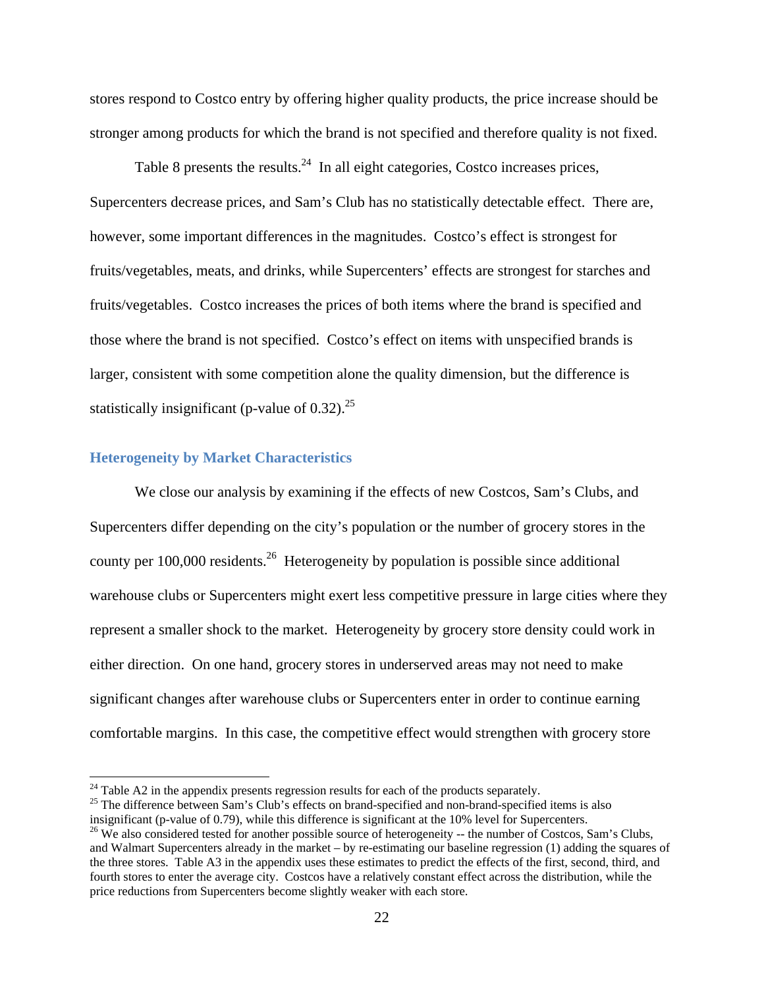stores respond to Costco entry by offering higher quality products, the price increase should be stronger among products for which the brand is not specified and therefore quality is not fixed.

Table 8 presents the results.  $24$  In all eight categories, Costco increases prices, Supercenters decrease prices, and Sam's Club has no statistically detectable effect. There are, however, some important differences in the magnitudes. Costco's effect is strongest for fruits/vegetables, meats, and drinks, while Supercenters' effects are strongest for starches and fruits/vegetables. Costco increases the prices of both items where the brand is specified and those where the brand is not specified. Costco's effect on items with unspecified brands is larger, consistent with some competition alone the quality dimension, but the difference is statistically insignificant (p-value of  $0.32$ ).<sup>25</sup>

#### **Heterogeneity by Market Characteristics**

 

 We close our analysis by examining if the effects of new Costcos, Sam's Clubs, and Supercenters differ depending on the city's population or the number of grocery stores in the county per  $100,000$  residents.<sup>26</sup> Heterogeneity by population is possible since additional warehouse clubs or Supercenters might exert less competitive pressure in large cities where they represent a smaller shock to the market. Heterogeneity by grocery store density could work in either direction. On one hand, grocery stores in underserved areas may not need to make significant changes after warehouse clubs or Supercenters enter in order to continue earning comfortable margins. In this case, the competitive effect would strengthen with grocery store

 $24$  Table A2 in the appendix presents regression results for each of the products separately.

<sup>&</sup>lt;sup>25</sup> The difference between Sam's Club's effects on brand-specified and non-brand-specified items is also insignificant (p-value of 0.79), while this difference is significant at the 10% level for Supercenters.

<sup>&</sup>lt;sup>26</sup> We also considered tested for another possible source of heterogeneity -- the number of Costcos, Sam's Clubs, and Walmart Supercenters already in the market – by re-estimating our baseline regression (1) adding the squares of the three stores. Table A3 in the appendix uses these estimates to predict the effects of the first, second, third, and fourth stores to enter the average city. Costcos have a relatively constant effect across the distribution, while the price reductions from Supercenters become slightly weaker with each store.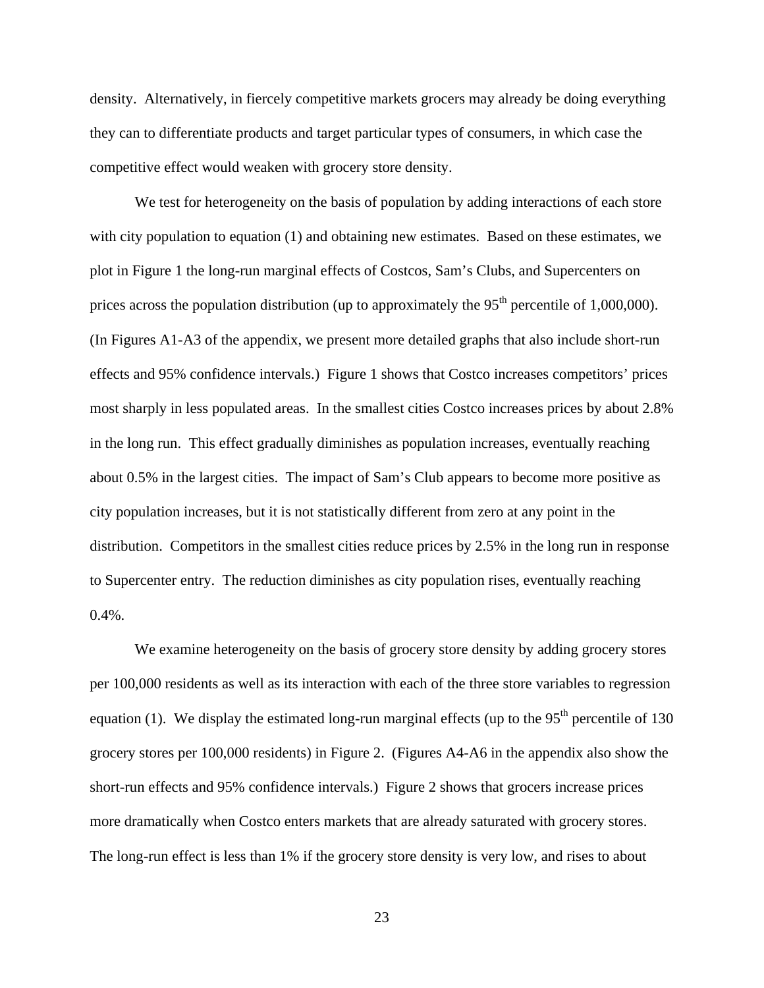density. Alternatively, in fiercely competitive markets grocers may already be doing everything they can to differentiate products and target particular types of consumers, in which case the competitive effect would weaken with grocery store density.

 We test for heterogeneity on the basis of population by adding interactions of each store with city population to equation (1) and obtaining new estimates. Based on these estimates, we plot in Figure 1 the long-run marginal effects of Costcos, Sam's Clubs, and Supercenters on prices across the population distribution (up to approximately the  $95<sup>th</sup>$  percentile of 1,000,000). (In Figures A1-A3 of the appendix, we present more detailed graphs that also include short-run effects and 95% confidence intervals.) Figure 1 shows that Costco increases competitors' prices most sharply in less populated areas. In the smallest cities Costco increases prices by about 2.8% in the long run. This effect gradually diminishes as population increases, eventually reaching about 0.5% in the largest cities. The impact of Sam's Club appears to become more positive as city population increases, but it is not statistically different from zero at any point in the distribution. Competitors in the smallest cities reduce prices by 2.5% in the long run in response to Supercenter entry. The reduction diminishes as city population rises, eventually reaching 0.4%.

 We examine heterogeneity on the basis of grocery store density by adding grocery stores per 100,000 residents as well as its interaction with each of the three store variables to regression equation (1). We display the estimated long-run marginal effects (up to the  $95<sup>th</sup>$  percentile of 130 grocery stores per 100,000 residents) in Figure 2. (Figures A4-A6 in the appendix also show the short-run effects and 95% confidence intervals.) Figure 2 shows that grocers increase prices more dramatically when Costco enters markets that are already saturated with grocery stores. The long-run effect is less than 1% if the grocery store density is very low, and rises to about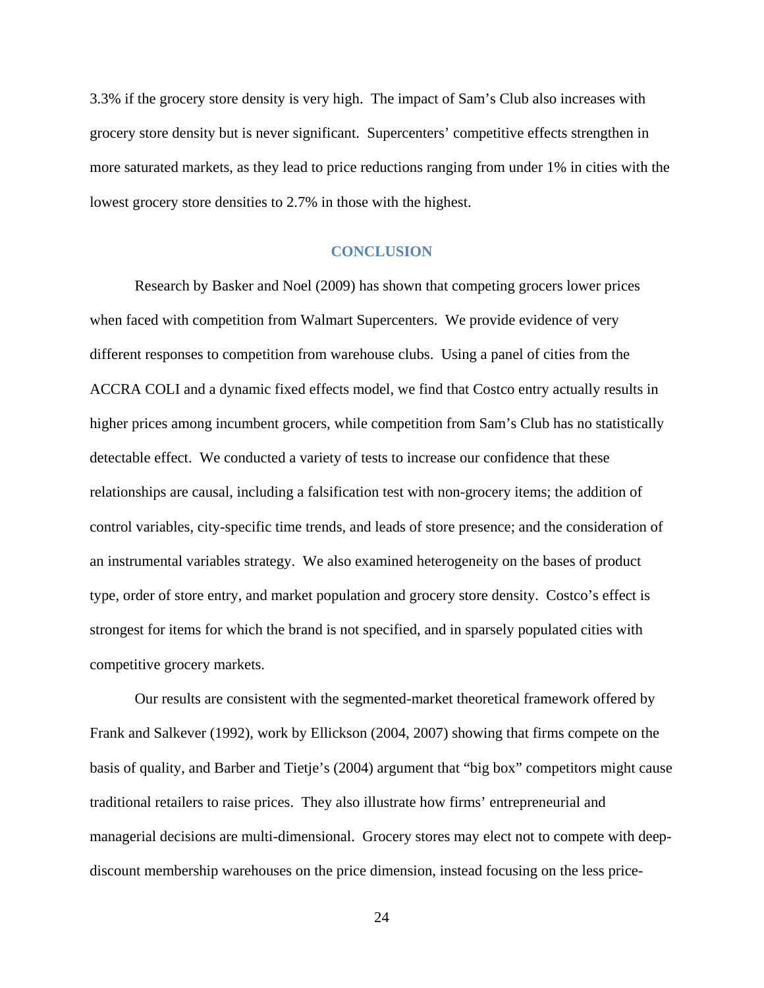3.3% if the grocery store density is very high. The impact of Sam's Club also increases with grocery store density but is never significant. Supercenters' competitive effects strengthen in more saturated markets, as they lead to price reductions ranging from under 1% in cities with the lowest grocery store densities to 2.7% in those with the highest.

#### **CONCLUSION**

Research by Basker and Noel (2009) has shown that competing grocers lower prices when faced with competition from Walmart Supercenters. We provide evidence of very different responses to competition from warehouse clubs. Using a panel of cities from the ACCRA COLI and a dynamic fixed effects model, we find that Costco entry actually results in higher prices among incumbent grocers, while competition from Sam's Club has no statistically detectable effect. We conducted a variety of tests to increase our confidence that these relationships are causal, including a falsification test with non-grocery items; the addition of control variables, city-specific time trends, and leads of store presence; and the consideration of an instrumental variables strategy. We also examined heterogeneity on the bases of product type, order of store entry, and market population and grocery store density. Costco's effect is strongest for items for which the brand is not specified, and in sparsely populated cities with competitive grocery markets.

Our results are consistent with the segmented-market theoretical framework offered by Frank and Salkever (1992), work by Ellickson (2004, 2007) showing that firms compete on the basis of quality, and Barber and Tietje's (2004) argument that "big box" competitors might cause traditional retailers to raise prices. They also illustrate how firms' entrepreneurial and managerial decisions are multi-dimensional. Grocery stores may elect not to compete with deepdiscount membership warehouses on the price dimension, instead focusing on the less price-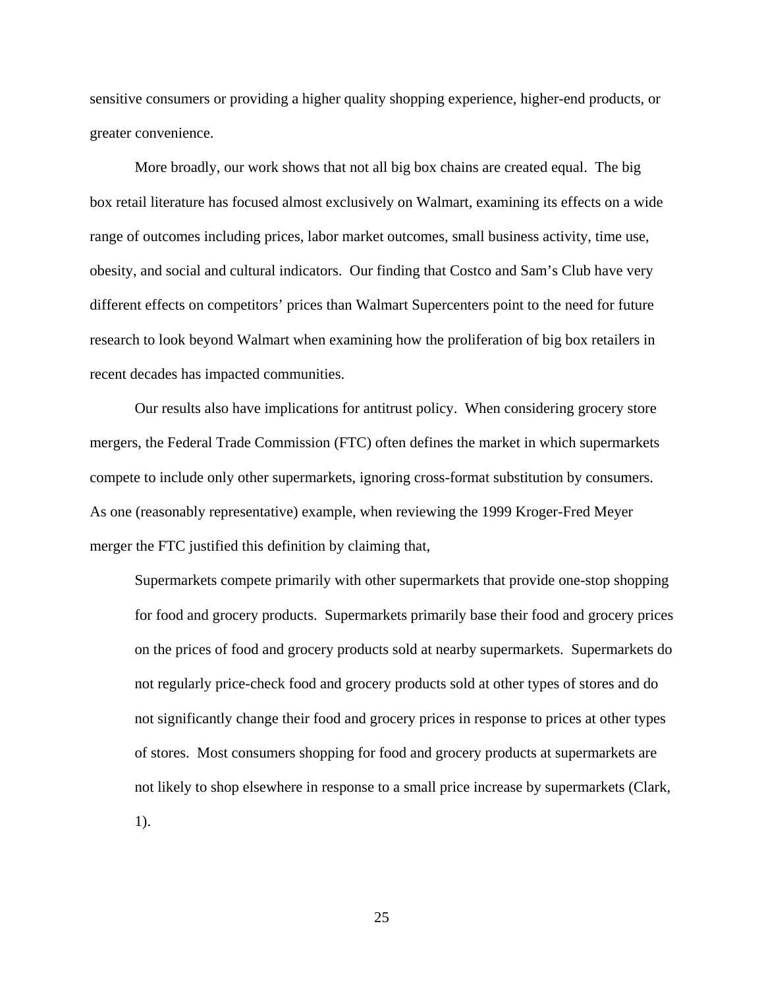sensitive consumers or providing a higher quality shopping experience, higher-end products, or greater convenience.

More broadly, our work shows that not all big box chains are created equal. The big box retail literature has focused almost exclusively on Walmart, examining its effects on a wide range of outcomes including prices, labor market outcomes, small business activity, time use, obesity, and social and cultural indicators. Our finding that Costco and Sam's Club have very different effects on competitors' prices than Walmart Supercenters point to the need for future research to look beyond Walmart when examining how the proliferation of big box retailers in recent decades has impacted communities.

 Our results also have implications for antitrust policy. When considering grocery store mergers, the Federal Trade Commission (FTC) often defines the market in which supermarkets compete to include only other supermarkets, ignoring cross-format substitution by consumers. As one (reasonably representative) example, when reviewing the 1999 Kroger-Fred Meyer merger the FTC justified this definition by claiming that,

Supermarkets compete primarily with other supermarkets that provide one-stop shopping for food and grocery products. Supermarkets primarily base their food and grocery prices on the prices of food and grocery products sold at nearby supermarkets. Supermarkets do not regularly price-check food and grocery products sold at other types of stores and do not significantly change their food and grocery prices in response to prices at other types of stores. Most consumers shopping for food and grocery products at supermarkets are not likely to shop elsewhere in response to a small price increase by supermarkets (Clark, 1).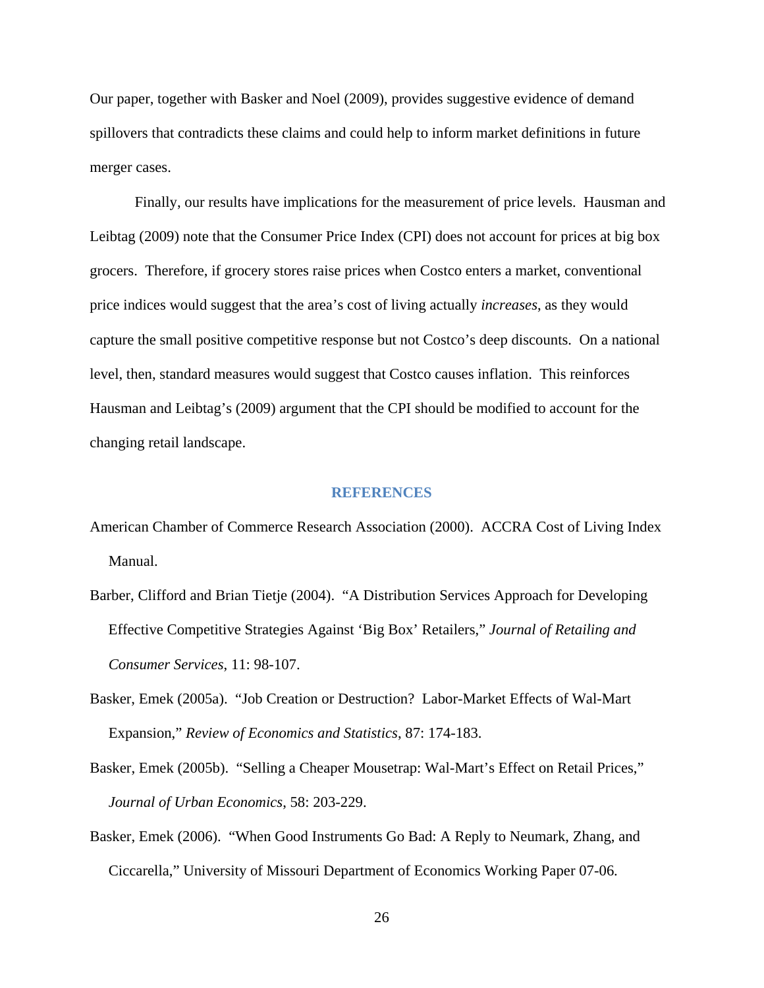Our paper, together with Basker and Noel (2009), provides suggestive evidence of demand spillovers that contradicts these claims and could help to inform market definitions in future merger cases.

 Finally, our results have implications for the measurement of price levels. Hausman and Leibtag (2009) note that the Consumer Price Index (CPI) does not account for prices at big box grocers. Therefore, if grocery stores raise prices when Costco enters a market, conventional price indices would suggest that the area's cost of living actually *increases*, as they would capture the small positive competitive response but not Costco's deep discounts. On a national level, then, standard measures would suggest that Costco causes inflation. This reinforces Hausman and Leibtag's (2009) argument that the CPI should be modified to account for the changing retail landscape.

#### **REFERENCES**

- American Chamber of Commerce Research Association (2000). ACCRA Cost of Living Index Manual.
- Barber, Clifford and Brian Tietje (2004). "A Distribution Services Approach for Developing Effective Competitive Strategies Against 'Big Box' Retailers," *Journal of Retailing and Consumer Services*, 11: 98-107.
- Basker, Emek (2005a). "Job Creation or Destruction? Labor-Market Effects of Wal-Mart Expansion," *Review of Economics and Statistics*, 87: 174-183.
- Basker, Emek (2005b). "Selling a Cheaper Mousetrap: Wal-Mart's Effect on Retail Prices," *Journal of Urban Economics*, 58: 203-229.
- Basker, Emek (2006). "When Good Instruments Go Bad: A Reply to Neumark, Zhang, and Ciccarella," University of Missouri Department of Economics Working Paper 07-06.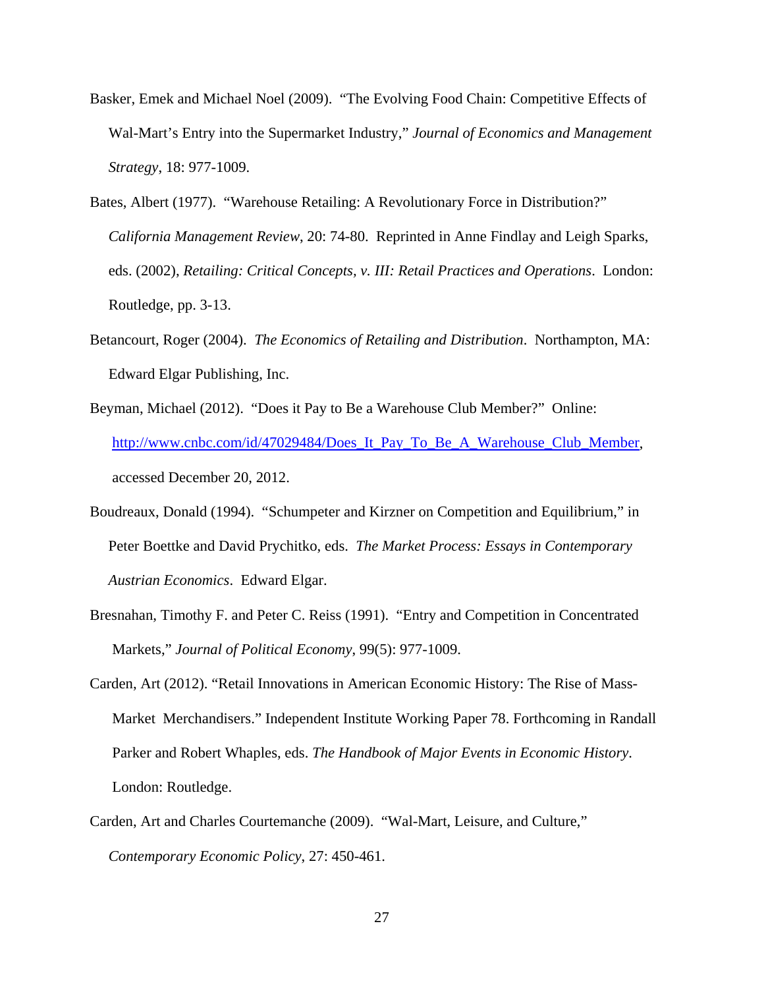- Basker, Emek and Michael Noel (2009). "The Evolving Food Chain: Competitive Effects of Wal-Mart's Entry into the Supermarket Industry," *Journal of Economics and Management Strategy*, 18: 977-1009.
- Bates, Albert (1977). "Warehouse Retailing: A Revolutionary Force in Distribution?" *California Management Review*, 20: 74-80. Reprinted in Anne Findlay and Leigh Sparks, eds. (2002), *Retailing: Critical Concepts, v. III: Retail Practices and Operations*. London: Routledge, pp. 3-13.
- Betancourt, Roger (2004). *The Economics of Retailing and Distribution*. Northampton, MA: Edward Elgar Publishing, Inc.
- Beyman, Michael (2012). "Does it Pay to Be a Warehouse Club Member?" Online: http://www.cnbc.com/id/47029484/Does\_It\_Pay\_To\_Be\_A\_Warehouse\_Club\_Member, accessed December 20, 2012.
- Boudreaux, Donald (1994). "Schumpeter and Kirzner on Competition and Equilibrium," in Peter Boettke and David Prychitko, eds. *The Market Process: Essays in Contemporary Austrian Economics*. Edward Elgar.
- Bresnahan, Timothy F. and Peter C. Reiss (1991). "Entry and Competition in Concentrated Markets," *Journal of Political Economy*, 99(5): 977-1009.
- Carden, Art (2012). "Retail Innovations in American Economic History: The Rise of Mass-Market Merchandisers." Independent Institute Working Paper 78. Forthcoming in Randall Parker and Robert Whaples, eds. *The Handbook of Major Events in Economic History*. London: Routledge.
- Carden, Art and Charles Courtemanche (2009). "Wal-Mart, Leisure, and Culture," *Contemporary Economic Policy*, 27: 450-461.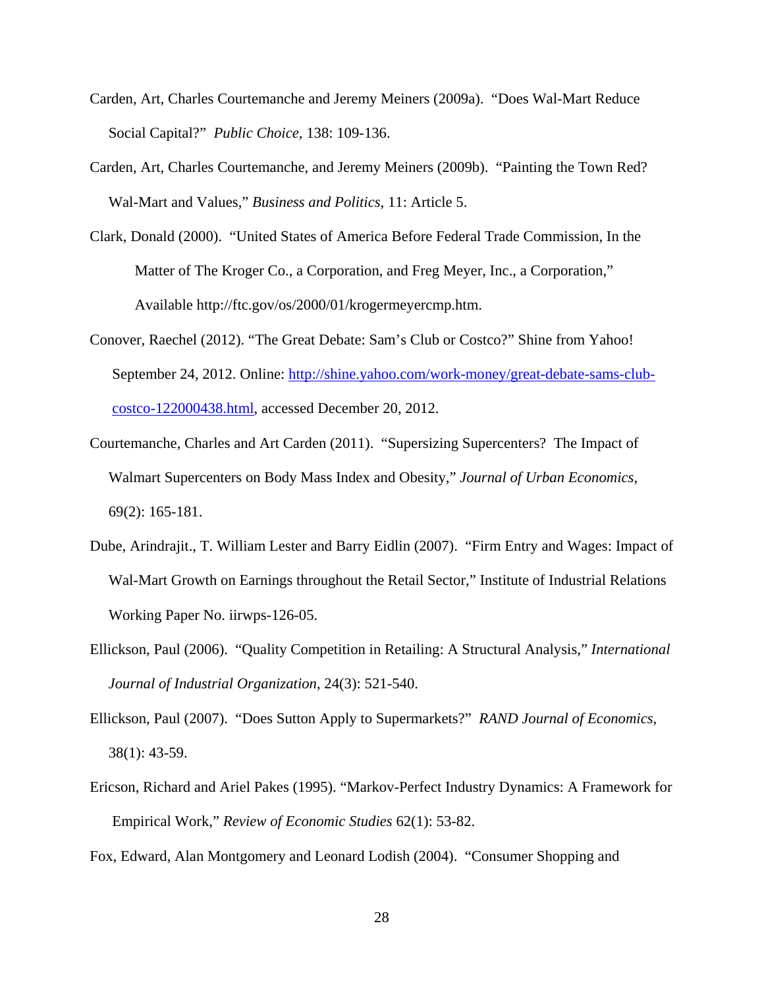- Carden, Art, Charles Courtemanche and Jeremy Meiners (2009a). "Does Wal-Mart Reduce Social Capital?" *Public Choice*, 138: 109-136.
- Carden, Art, Charles Courtemanche, and Jeremy Meiners (2009b). "Painting the Town Red? Wal-Mart and Values," *Business and Politics*, 11: Article 5.
- Clark, Donald (2000). "United States of America Before Federal Trade Commission, In the Matter of The Kroger Co., a Corporation, and Freg Meyer, Inc., a Corporation," Available http://ftc.gov/os/2000/01/krogermeyercmp.htm.
- Conover, Raechel (2012). "The Great Debate: Sam's Club or Costco?" Shine from Yahoo! September 24, 2012. Online: http://shine.yahoo.com/work-money/great-debate-sams-clubcostco-122000438.html, accessed December 20, 2012.
- Courtemanche, Charles and Art Carden (2011). "Supersizing Supercenters? The Impact of Walmart Supercenters on Body Mass Index and Obesity," *Journal of Urban Economics*, 69(2): 165-181.
- Dube, Arindrajit., T. William Lester and Barry Eidlin (2007). "Firm Entry and Wages: Impact of Wal-Mart Growth on Earnings throughout the Retail Sector," Institute of Industrial Relations Working Paper No. iirwps-126-05.
- Ellickson, Paul (2006). "Quality Competition in Retailing: A Structural Analysis," *International Journal of Industrial Organization*, 24(3): 521-540.
- Ellickson, Paul (2007). "Does Sutton Apply to Supermarkets?" *RAND Journal of Economics*, 38(1): 43-59.
- Ericson, Richard and Ariel Pakes (1995). "Markov-Perfect Industry Dynamics: A Framework for Empirical Work," *Review of Economic Studies* 62(1): 53-82.

Fox, Edward, Alan Montgomery and Leonard Lodish (2004). "Consumer Shopping and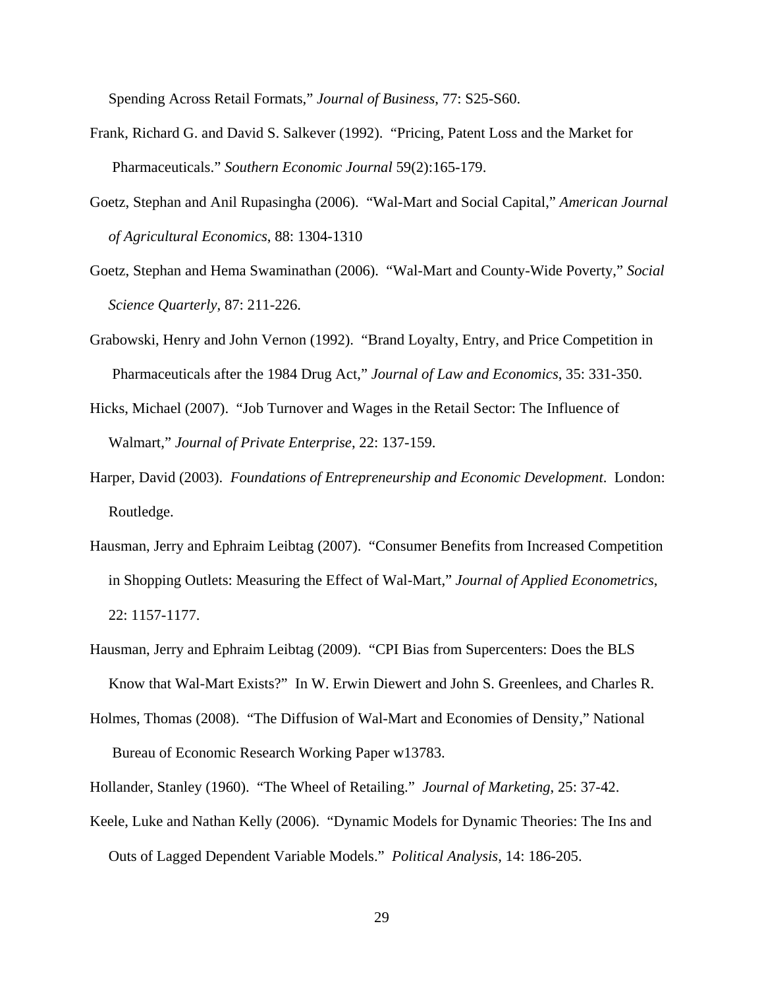Spending Across Retail Formats," *Journal of Business*, 77: S25-S60.

- Frank, Richard G. and David S. Salkever (1992). "Pricing, Patent Loss and the Market for Pharmaceuticals." *Southern Economic Journal* 59(2):165-179.
- Goetz, Stephan and Anil Rupasingha (2006). "Wal-Mart and Social Capital," *American Journal of Agricultural Economics*, 88: 1304-1310
- Goetz, Stephan and Hema Swaminathan (2006). "Wal-Mart and County-Wide Poverty," *Social Science Quarterly*, 87: 211-226.
- Grabowski, Henry and John Vernon (1992). "Brand Loyalty, Entry, and Price Competition in Pharmaceuticals after the 1984 Drug Act," *Journal of Law and Economics*, 35: 331-350.
- Hicks, Michael (2007). "Job Turnover and Wages in the Retail Sector: The Influence of Walmart," *Journal of Private Enterprise*, 22: 137-159.
- Harper, David (2003). *Foundations of Entrepreneurship and Economic Development*. London: Routledge.
- Hausman, Jerry and Ephraim Leibtag (2007). "Consumer Benefits from Increased Competition in Shopping Outlets: Measuring the Effect of Wal-Mart," *Journal of Applied Econometrics*, 22: 1157-1177.
- Hausman, Jerry and Ephraim Leibtag (2009). "CPI Bias from Supercenters: Does the BLS Know that Wal-Mart Exists?" In W. Erwin Diewert and John S. Greenlees, and Charles R.
- Holmes, Thomas (2008). "The Diffusion of Wal-Mart and Economies of Density," National Bureau of Economic Research Working Paper w13783.
- Hollander, Stanley (1960). "The Wheel of Retailing." *Journal of Marketing*, 25: 37-42.
- Keele, Luke and Nathan Kelly (2006). "Dynamic Models for Dynamic Theories: The Ins and Outs of Lagged Dependent Variable Models." *Political Analysis*, 14: 186-205.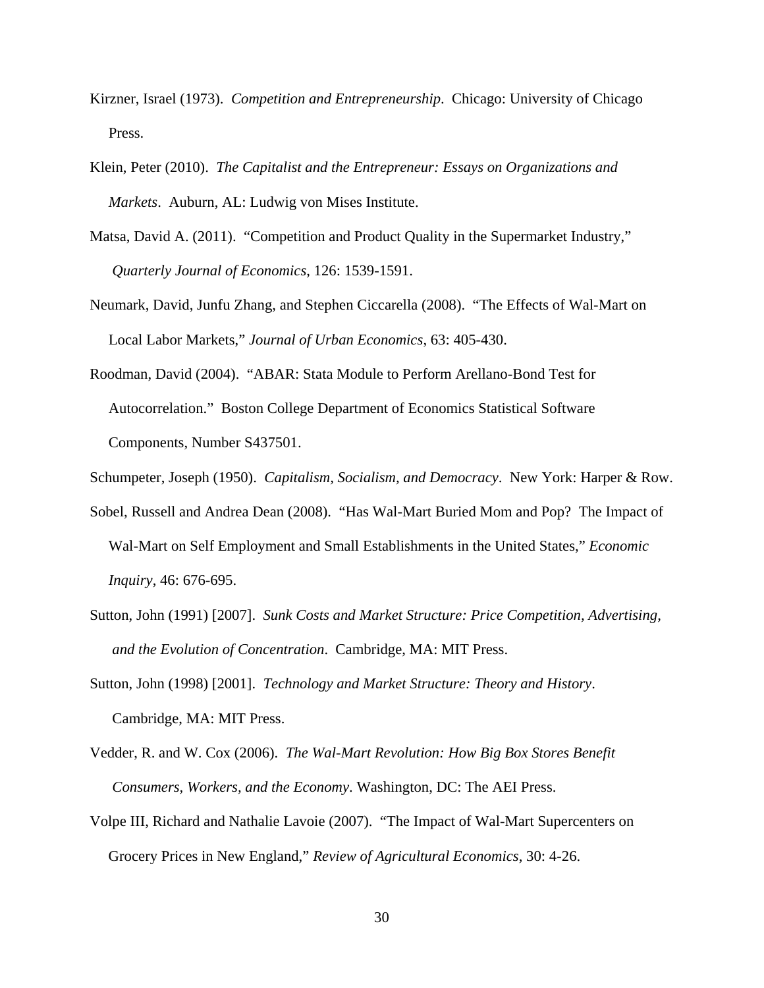- Kirzner, Israel (1973). *Competition and Entrepreneurship*. Chicago: University of Chicago Press.
- Klein, Peter (2010). *The Capitalist and the Entrepreneur: Essays on Organizations and Markets*. Auburn, AL: Ludwig von Mises Institute.
- Matsa, David A. (2011). "Competition and Product Quality in the Supermarket Industry," *Quarterly Journal of Economics*, 126: 1539-1591.
- Neumark, David, Junfu Zhang, and Stephen Ciccarella (2008). "The Effects of Wal-Mart on Local Labor Markets," *Journal of Urban Economics*, 63: 405-430.
- Roodman, David (2004). "ABAR: Stata Module to Perform Arellano-Bond Test for Autocorrelation." Boston College Department of Economics Statistical Software Components, Number S437501.
- Schumpeter, Joseph (1950). *Capitalism, Socialism, and Democracy*. New York: Harper & Row.
- Sobel, Russell and Andrea Dean (2008). "Has Wal-Mart Buried Mom and Pop? The Impact of Wal-Mart on Self Employment and Small Establishments in the United States," *Economic Inquiry*, 46: 676-695.
- Sutton, John (1991) [2007]. *Sunk Costs and Market Structure: Price Competition, Advertising, and the Evolution of Concentration*. Cambridge, MA: MIT Press.
- Sutton, John (1998) [2001]. *Technology and Market Structure: Theory and History*. Cambridge, MA: MIT Press.
- Vedder, R. and W. Cox (2006). *The Wal-Mart Revolution: How Big Box Stores Benefit Consumers, Workers, and the Economy*. Washington, DC: The AEI Press.
- Volpe III, Richard and Nathalie Lavoie (2007). "The Impact of Wal-Mart Supercenters on Grocery Prices in New England," *Review of Agricultural Economics*, 30: 4-26.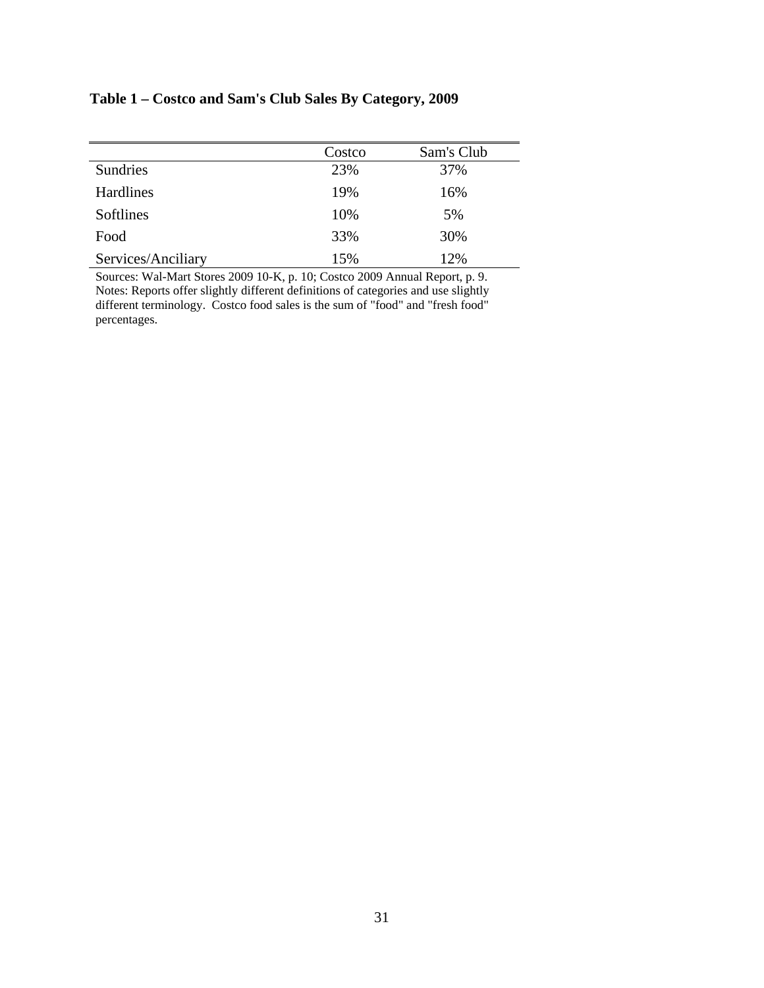# **Table 1 – Costco and Sam's Club Sales By Category, 2009**

|                    | Costco | Sam's Club |
|--------------------|--------|------------|
| Sundries           | 23%    | 37%        |
| <b>Hardlines</b>   | 19%    | 16%        |
| Softlines          | 10%    | 5%         |
| Food               | 33%    | 30%        |
| Services/Anciliary | 15%    | 12%        |

Sources: Wal-Mart Stores 2009 10-K, p. 10; Costco 2009 Annual Report, p. 9. Notes: Reports offer slightly different definitions of categories and use slightly different terminology. Costco food sales is the sum of "food" and "fresh food" percentages.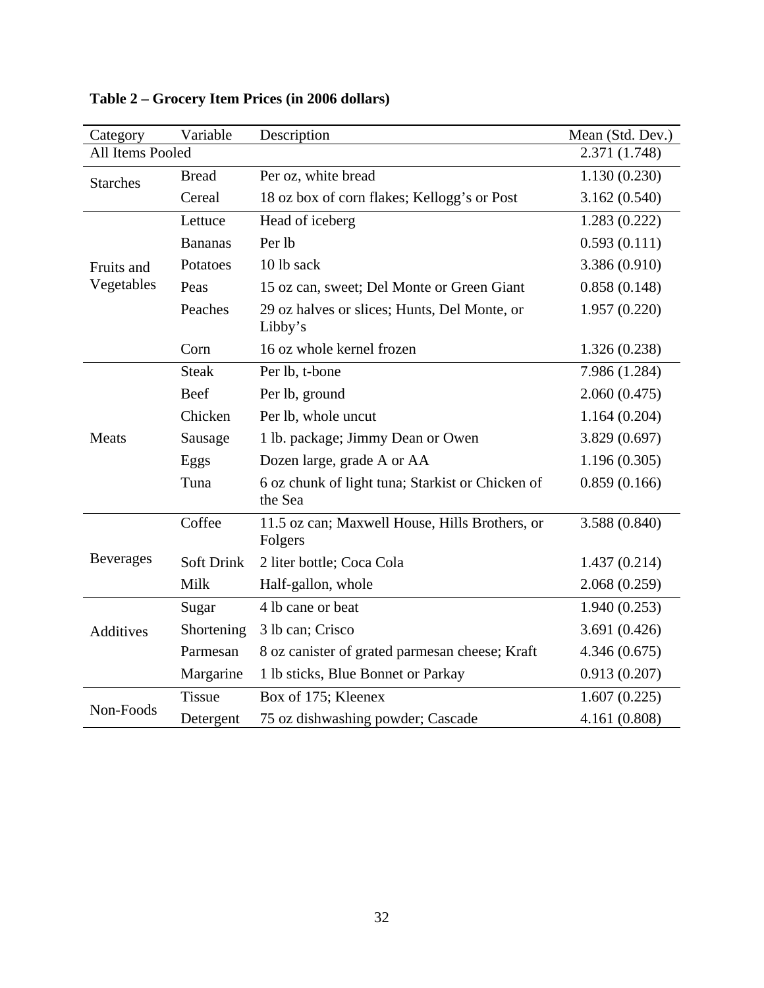| Category         | Variable          | Description                                                 | Mean (Std. Dev.) |
|------------------|-------------------|-------------------------------------------------------------|------------------|
| All Items Pooled |                   |                                                             | 2.371 (1.748)    |
| <b>Starches</b>  | <b>Bread</b>      | Per oz, white bread                                         | 1.130(0.230)     |
|                  | Cereal            | 18 oz box of corn flakes; Kellogg's or Post                 | 3.162(0.540)     |
|                  | Lettuce           | Head of iceberg                                             | 1.283(0.222)     |
|                  | <b>Bananas</b>    | Per lb                                                      | 0.593(0.111)     |
| Fruits and       | Potatoes          | 10 lb sack                                                  | 3.386 (0.910)    |
| Vegetables       | Peas              | 15 oz can, sweet; Del Monte or Green Giant                  | 0.858(0.148)     |
|                  | Peaches           | 29 oz halves or slices; Hunts, Del Monte, or<br>Libby's     | 1.957(0.220)     |
|                  | Corn              | 16 oz whole kernel frozen                                   | 1.326(0.238)     |
|                  | <b>Steak</b>      | Per lb, t-bone                                              | 7.986 (1.284)    |
|                  | Beef              | Per lb, ground                                              | 2.060(0.475)     |
|                  | Chicken           | Per lb, whole uncut                                         | 1.164(0.204)     |
| Meats            | Sausage           | 1 lb. package; Jimmy Dean or Owen                           | 3.829 (0.697)    |
|                  | Eggs              | Dozen large, grade A or AA                                  | 1.196(0.305)     |
|                  | Tuna              | 6 oz chunk of light tuna; Starkist or Chicken of<br>the Sea | 0.859(0.166)     |
|                  | Coffee            | 11.5 oz can; Maxwell House, Hills Brothers, or<br>Folgers   | 3.588 (0.840)    |
| <b>Beverages</b> | <b>Soft Drink</b> | 2 liter bottle; Coca Cola                                   | 1.437(0.214)     |
|                  | Milk              | Half-gallon, whole                                          | 2.068(0.259)     |
|                  | Sugar             | 4 lb cane or beat                                           | 1.940(0.253)     |
| <b>Additives</b> | Shortening        | 3 lb can; Crisco                                            | 3.691(0.426)     |
|                  | Parmesan          | 8 oz canister of grated parmesan cheese; Kraft              | 4.346(0.675)     |
|                  | Margarine         | 1 lb sticks, Blue Bonnet or Parkay                          | 0.913(0.207)     |
|                  | <b>Tissue</b>     | Box of 175; Kleenex                                         | 1.607(0.225)     |
| Non-Foods        | Detergent         | 75 oz dishwashing powder; Cascade                           | 4.161 (0.808)    |

**Table 2 – Grocery Item Prices (in 2006 dollars)**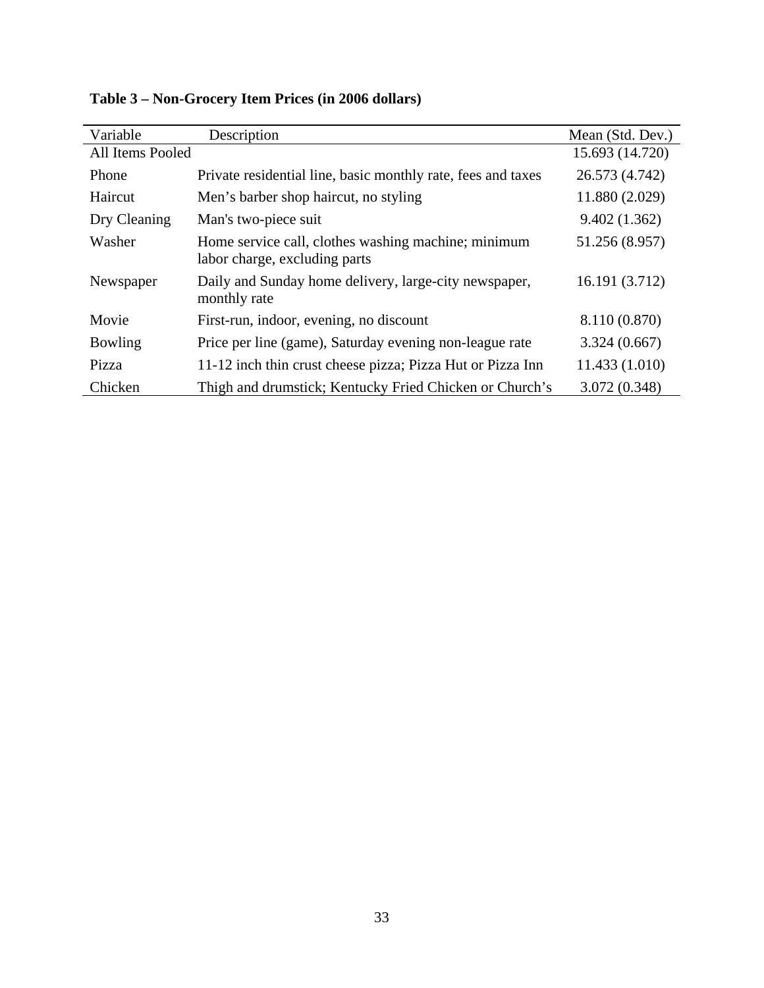| Variable         | Description                                                                          | Mean (Std. Dev.) |
|------------------|--------------------------------------------------------------------------------------|------------------|
| All Items Pooled |                                                                                      | 15.693 (14.720)  |
| Phone            | Private residential line, basic monthly rate, fees and taxes                         | 26.573 (4.742)   |
| Haircut          | Men's barber shop haircut, no styling                                                | 11.880 (2.029)   |
| Dry Cleaning     | Man's two-piece suit                                                                 | 9.402(1.362)     |
| Washer           | Home service call, clothes washing machine; minimum<br>labor charge, excluding parts | 51.256 (8.957)   |
| Newspaper        | Daily and Sunday home delivery, large-city newspaper,<br>monthly rate                | 16.191 (3.712)   |
| Movie            | First-run, indoor, evening, no discount                                              | 8.110 (0.870)    |
| Bowling          | Price per line (game), Saturday evening non-league rate                              | 3.324(0.667)     |
| Pizza            | 11-12 inch thin crust cheese pizza; Pizza Hut or Pizza Inn                           | 11.433 (1.010)   |
| Chicken          | Thigh and drumstick; Kentucky Fried Chicken or Church's                              | 3.072 (0.348)    |

**Table 3 – Non-Grocery Item Prices (in 2006 dollars)**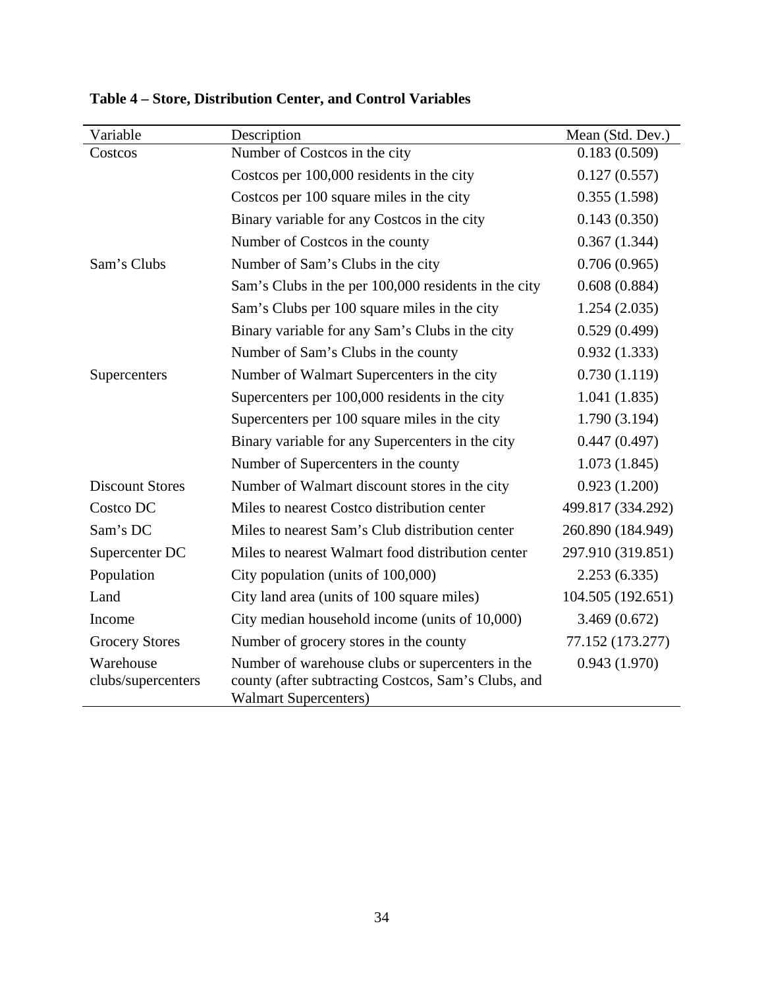| Variable                        | Description                                                                                                                             | Mean (Std. Dev.)  |
|---------------------------------|-----------------------------------------------------------------------------------------------------------------------------------------|-------------------|
| Costcos                         | Number of Costcos in the city                                                                                                           | 0.183(0.509)      |
|                                 | Costcos per 100,000 residents in the city                                                                                               | 0.127(0.557)      |
|                                 | Costcos per 100 square miles in the city                                                                                                | 0.355(1.598)      |
|                                 | Binary variable for any Costcos in the city                                                                                             | 0.143(0.350)      |
|                                 | Number of Costcos in the county                                                                                                         | 0.367(1.344)      |
| Sam's Clubs                     | Number of Sam's Clubs in the city                                                                                                       | 0.706(0.965)      |
|                                 | Sam's Clubs in the per 100,000 residents in the city                                                                                    | 0.608(0.884)      |
|                                 | Sam's Clubs per 100 square miles in the city                                                                                            | 1.254(2.035)      |
|                                 | Binary variable for any Sam's Clubs in the city                                                                                         | 0.529(0.499)      |
|                                 | Number of Sam's Clubs in the county                                                                                                     | 0.932(1.333)      |
| Supercenters                    | Number of Walmart Supercenters in the city                                                                                              | 0.730(1.119)      |
|                                 | Supercenters per 100,000 residents in the city                                                                                          | 1.041(1.835)      |
|                                 | Supercenters per 100 square miles in the city                                                                                           | 1.790(3.194)      |
|                                 | Binary variable for any Supercenters in the city                                                                                        | 0.447(0.497)      |
|                                 | Number of Supercenters in the county                                                                                                    | 1.073(1.845)      |
| <b>Discount Stores</b>          | Number of Walmart discount stores in the city                                                                                           | 0.923(1.200)      |
| Costco DC                       | Miles to nearest Costco distribution center                                                                                             | 499.817 (334.292) |
| Sam's DC                        | Miles to nearest Sam's Club distribution center                                                                                         | 260.890 (184.949) |
| Supercenter DC                  | Miles to nearest Walmart food distribution center                                                                                       | 297.910 (319.851) |
| Population                      | City population (units of 100,000)                                                                                                      | 2.253(6.335)      |
| Land                            | City land area (units of 100 square miles)                                                                                              | 104.505 (192.651) |
| Income                          | City median household income (units of 10,000)                                                                                          | 3.469(0.672)      |
| <b>Grocery Stores</b>           | Number of grocery stores in the county                                                                                                  | 77.152 (173.277)  |
| Warehouse<br>clubs/supercenters | Number of warehouse clubs or supercenters in the<br>county (after subtracting Costcos, Sam's Clubs, and<br><b>Walmart Supercenters)</b> | 0.943(1.970)      |

**Table 4 – Store, Distribution Center, and Control Variables**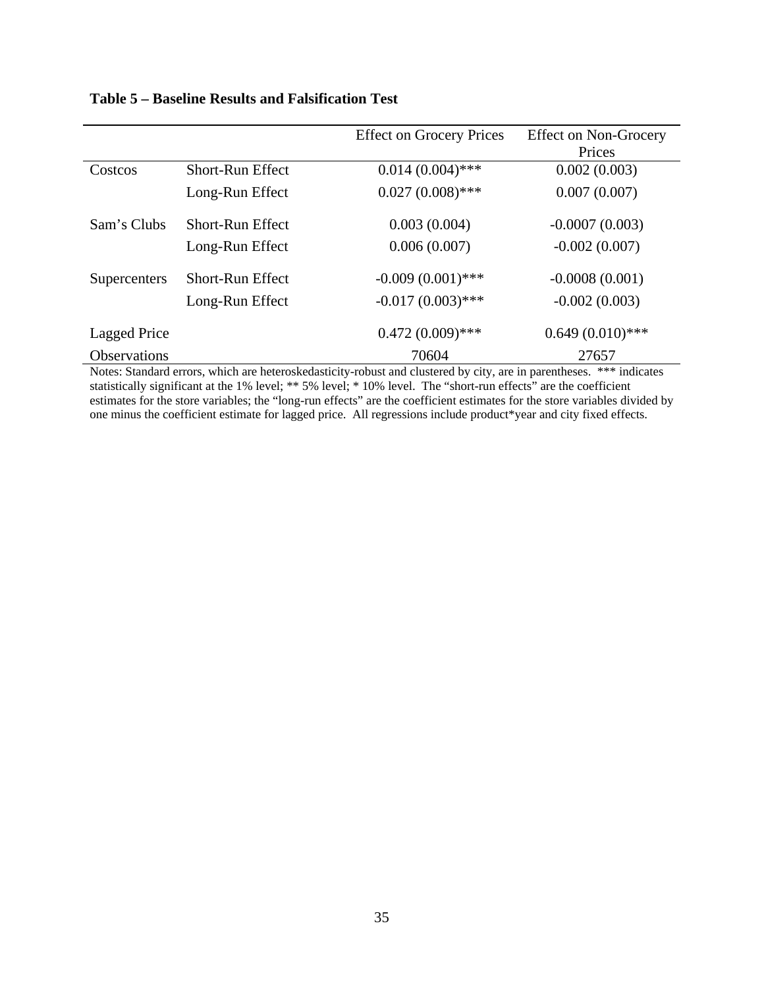|                     |                         | <b>Effect on Grocery Prices</b> | <b>Effect on Non-Grocery</b> |
|---------------------|-------------------------|---------------------------------|------------------------------|
|                     |                         |                                 | Prices                       |
| Costcos             | <b>Short-Run Effect</b> | $0.014(0.004)$ ***              | 0.002(0.003)                 |
|                     | Long-Run Effect         | $0.027(0.008)$ ***              | 0.007(0.007)                 |
| Sam's Clubs         | <b>Short-Run Effect</b> | 0.003(0.004)                    | $-0.0007(0.003)$             |
|                     | Long-Run Effect         | 0.006(0.007)                    | $-0.002(0.007)$              |
| Supercenters        | <b>Short-Run Effect</b> | $-0.009(0.001)$ ***             | $-0.0008(0.001)$             |
|                     | Long-Run Effect         | $-0.017(0.003)$ ***             | $-0.002(0.003)$              |
| Lagged Price        |                         | $0.472(0.009)$ ***              | $0.649(0.010)$ ***           |
| <b>Observations</b> |                         | 70604                           | 27657                        |

# **Table 5 – Baseline Results and Falsification Test**

Notes: Standard errors, which are heteroskedasticity-robust and clustered by city, are in parentheses. \*\*\* indicates statistically significant at the 1% level; \*\* 5% level; \* 10% level. The "short-run effects" are the coefficient estimates for the store variables; the "long-run effects" are the coefficient estimates for the store variables divided by one minus the coefficient estimate for lagged price. All regressions include product\*year and city fixed effects.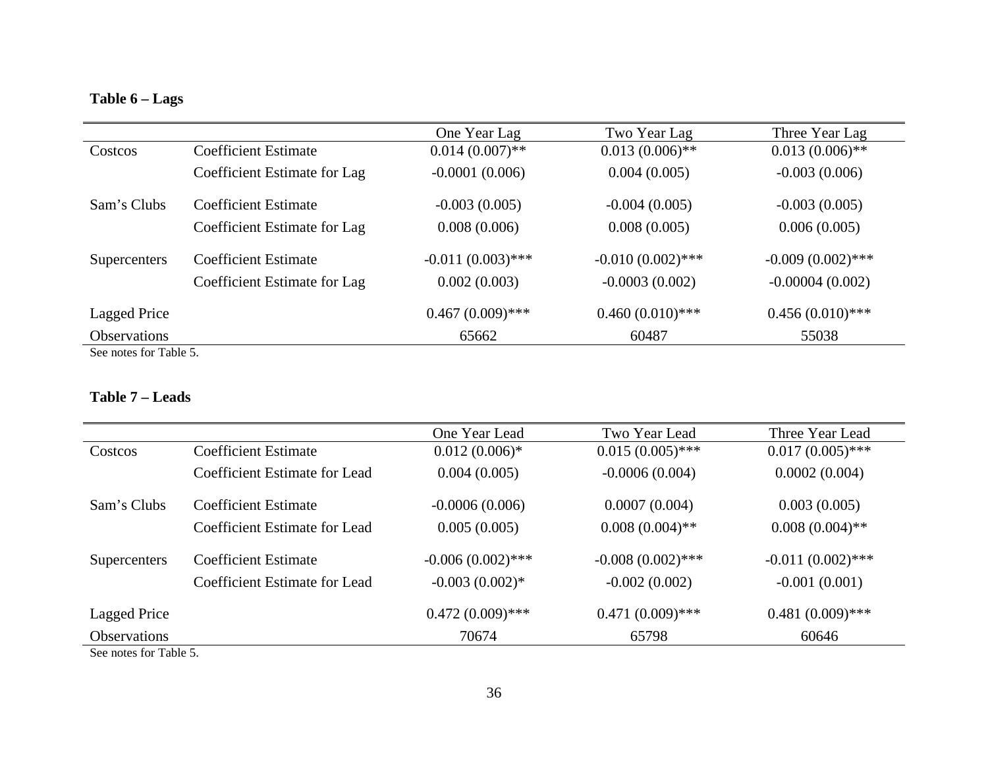# **Table 6 – Lags**

|                     |                              | One Year Lag        | Two Year Lag        | Three Year Lag      |
|---------------------|------------------------------|---------------------|---------------------|---------------------|
| Costcos             | <b>Coefficient Estimate</b>  | $0.014(0.007)$ **   | $0.013(0.006)$ **   | $0.013(0.006)$ **   |
|                     | Coefficient Estimate for Lag | $-0.0001(0.006)$    | 0.004(0.005)        | $-0.003(0.006)$     |
| Sam's Clubs         | Coefficient Estimate         | $-0.003(0.005)$     | $-0.004(0.005)$     | $-0.003(0.005)$     |
|                     | Coefficient Estimate for Lag | 0.008(0.006)        | 0.008(0.005)        | 0.006(0.005)        |
| Supercenters        | Coefficient Estimate         | $-0.011(0.003)$ *** | $-0.010(0.002)$ *** | $-0.009(0.002)$ *** |
|                     | Coefficient Estimate for Lag | 0.002(0.003)        | $-0.0003(0.002)$    | $-0.00004(0.002)$   |
| Lagged Price        |                              | $0.467(0.009)$ ***  | $0.460(0.010)$ ***  | $0.456(0.010)$ ***  |
| <b>Observations</b> |                              | 65662               | 60487               | 55038               |

See notes for Table 5.

#### **Table 7 – Leads**

|                                     |                                      | One Year Lead       | Two Year Lead       | Three Year Lead     |
|-------------------------------------|--------------------------------------|---------------------|---------------------|---------------------|
| Costcos                             | <b>Coefficient Estimate</b>          | $0.012(0.006)*$     | $0.015(0.005)$ ***  | $0.017(0.005)$ ***  |
|                                     | <b>Coefficient Estimate for Lead</b> | 0.004(0.005)        | $-0.0006(0.004)$    | 0.0002(0.004)       |
| Sam's Clubs                         | <b>Coefficient Estimate</b>          | $-0.0006(0.006)$    | 0.0007(0.004)       | 0.003(0.005)        |
|                                     | Coefficient Estimate for Lead        | 0.005(0.005)        | $0.008(0.004)$ **   | $0.008(0.004)$ **   |
| Supercenters                        | <b>Coefficient Estimate</b>          | $-0.006(0.002)$ *** | $-0.008(0.002)$ *** | $-0.011(0.002)$ *** |
|                                     | <b>Coefficient Estimate for Lead</b> | $-0.003(0.002)*$    | $-0.002(0.002)$     | $-0.001(0.001)$     |
| <b>Lagged Price</b>                 |                                      | $0.472(0.009)$ ***  | $0.471(0.009)$ ***  | $0.481(0.009)$ ***  |
| Observations                        |                                      | 70674               | 65798               | 60646               |
| $\alpha$ . $\alpha$ m ii $\epsilon$ |                                      |                     |                     |                     |

See notes for Table 5.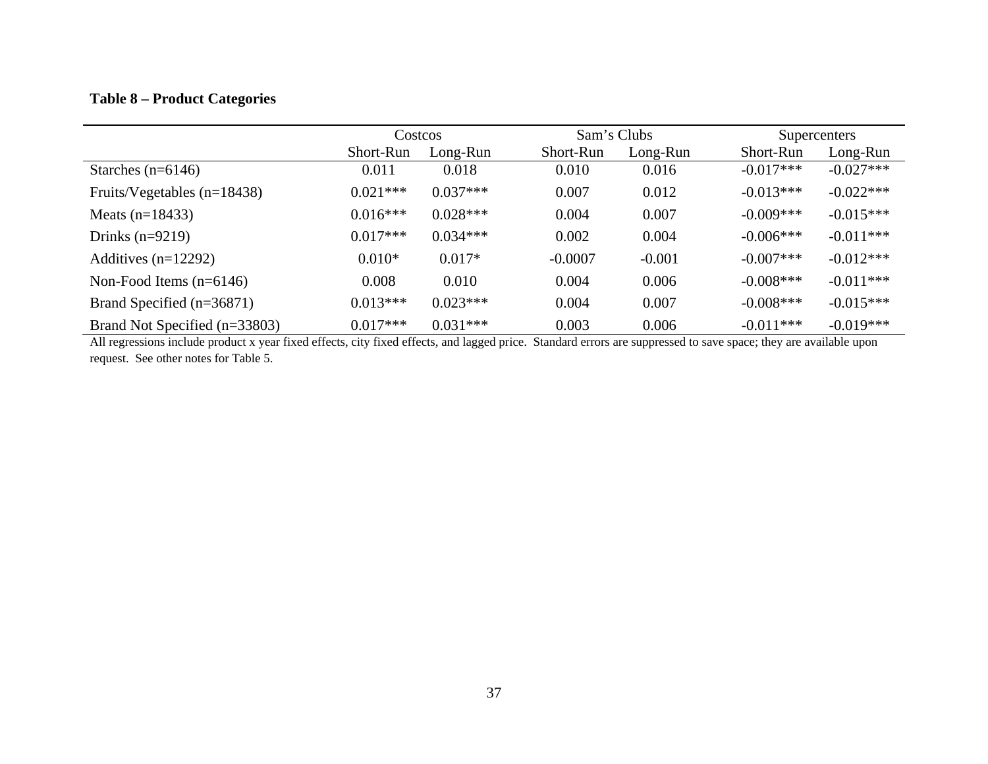# **Table 8 – Product Categories**

|                               | <b>Costcos</b> |            | Sam's Clubs |          | Supercenters |             |
|-------------------------------|----------------|------------|-------------|----------|--------------|-------------|
|                               | Short-Run      | Long-Run   | Short-Run   | Long-Run | Short-Run    | Long-Run    |
| Starches $(n=6146)$           | 0.011          | 0.018      | 0.010       | 0.016    | $-0.017***$  | $-0.027***$ |
| Fruits/Vegetables $(n=18438)$ | $0.021***$     | $0.037***$ | 0.007       | 0.012    | $-0.013***$  | $-0.022***$ |
| Meats $(n=18433)$             | $0.016***$     | $0.028***$ | 0.004       | 0.007    | $-0.009***$  | $-0.015***$ |
| Drinks $(n=9219)$             | $0.017***$     | $0.034***$ | 0.002       | 0.004    | $-0.006***$  | $-0.011***$ |
| Additives $(n=12292)$         | $0.010*$       | $0.017*$   | $-0.0007$   | $-0.001$ | $-0.007$ *** | $-0.012***$ |
| Non-Food Items $(n=6146)$     | 0.008          | 0.010      | 0.004       | 0.006    | $-0.008$ *** | $-0.011***$ |
| Brand Specified (n=36871)     | $0.013***$     | $0.023***$ | 0.004       | 0.007    | $-0.008$ *** | $-0.015***$ |
| Brand Not Specified (n=33803) | $0.017***$     | $0.031***$ | 0.003       | 0.006    | $-0.011***$  | $-0.019***$ |

All regressions include product x year fixed effects, city fixed effects, and lagged price. Standard errors are suppressed to save space; they are available upon request. See other notes for Table 5.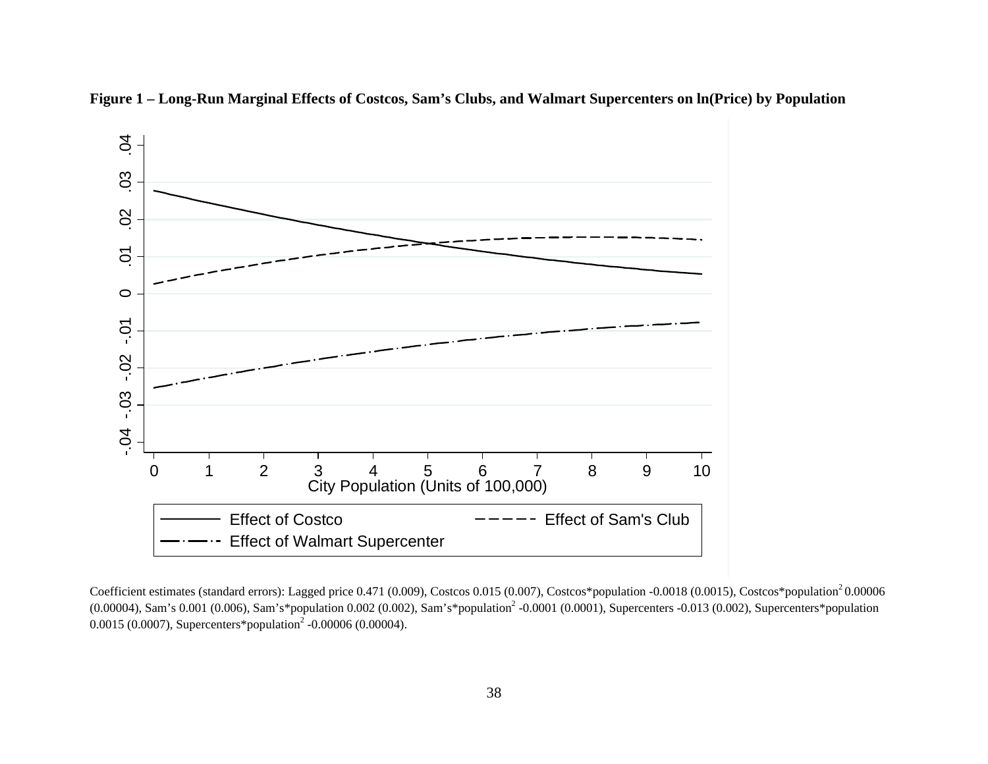

**Figure 1 – Long-Run Marginal Effects of Costcos, Sam's Clubs, and Walmart Supercenters on ln(Price) by Population** 

Coefficient estimates (standard errors): Lagged price 0.471 (0.009), Costcos 0.015 (0.007), Costcos\*population -0.0018 (0.0015), Costcos\*population<sup>2</sup> 0.00006 (0.00004), Sam's 0.001 (0.006), Sam's\*population 0.002 (0.002), Sam's\*population2 -0.0001 (0.0001), Supercenters -0.013 (0.002), Supercenters\*population 0.0015 (0.0007), Supercenters\*population<sup>2</sup> -0.00006 (0.00004).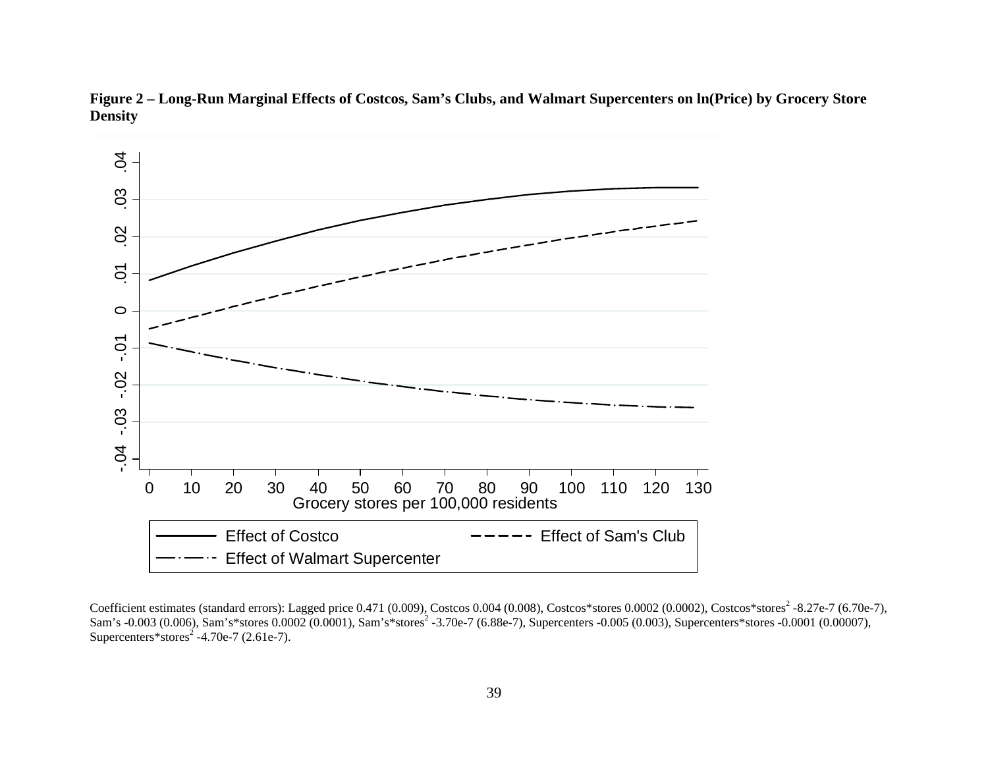

**Figure 2 – Long-Run Marginal Effects of Costcos, Sam's Clubs, and Walmart Supercenters on ln(Price) by Grocery Store Density** 

Coefficient estimates (standard errors): Lagged price 0.471 (0.009), Costcos 0.004 (0.008), Costcos\*stores 0.0002 (0.0002), Costcos\*stores<sup>2</sup> -8.27e-7 (6.70e-7), Sam's -0.003 (0.006), Sam's\*stores 0.0002 (0.0001), Sam's\*stores<sup>2</sup> -3.70e-7 (6.88e-7), Supercenters -0.005 (0.003), Supercenters\*stores -0.0001 (0.00007), Supercenters\*stores<sup>2</sup> -4.70e-7 (2.61e-7).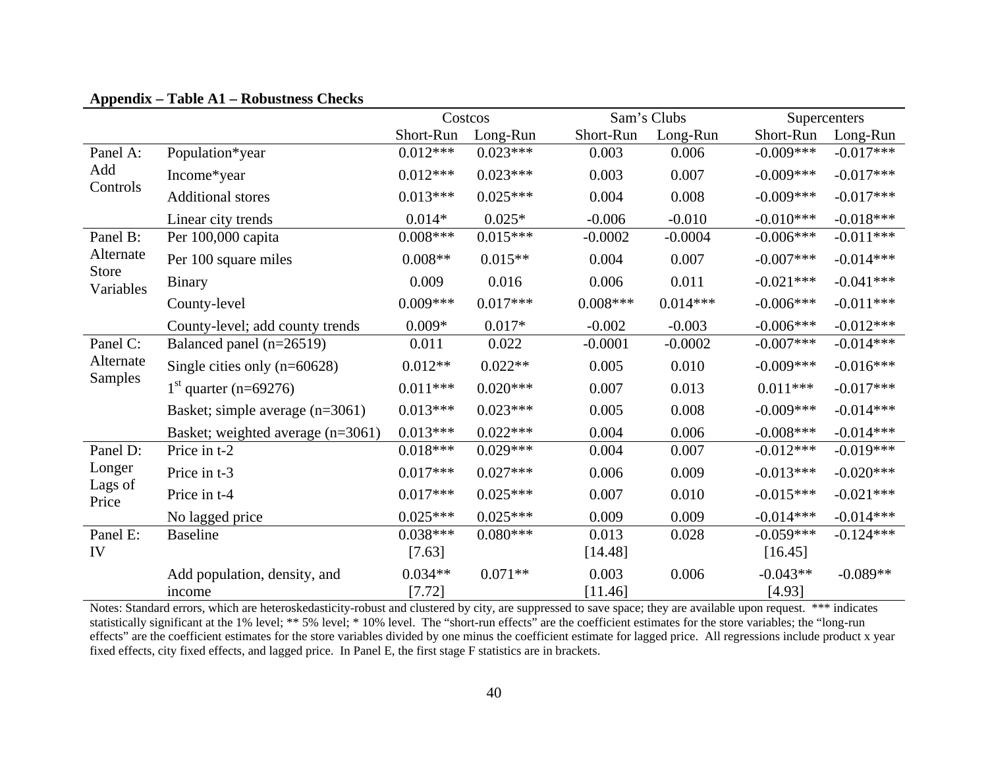|                           |                                   | Costcos    |            |            | Sam's Clubs |              | Supercenters |  |
|---------------------------|-----------------------------------|------------|------------|------------|-------------|--------------|--------------|--|
|                           |                                   | Short-Run  | Long-Run   | Short-Run  | Long-Run    | Short-Run    | Long-Run     |  |
| Panel A:                  | Population*year                   | $0.012***$ | $0.023***$ | 0.003      | 0.006       | $-0.009***$  | $-0.017***$  |  |
| Add                       | Income*year                       | $0.012***$ | $0.023***$ | 0.003      | 0.007       | $-0.009***$  | $-0.017***$  |  |
| Controls                  | <b>Additional stores</b>          | $0.013***$ | $0.025***$ | 0.004      | 0.008       | $-0.009***$  | $-0.017***$  |  |
|                           | Linear city trends                | $0.014*$   | $0.025*$   | $-0.006$   | $-0.010$    | $-0.010***$  | $-0.018***$  |  |
| Panel B:                  | Per 100,000 capita                | $0.008***$ | $0.015***$ | $-0.0002$  | $-0.0004$   | $-0.006***$  | $-0.011***$  |  |
| Alternate                 | Per 100 square miles              | $0.008**$  | $0.015**$  | 0.004      | 0.007       | $-0.007***$  | $-0.014***$  |  |
| <b>Store</b><br>Variables | <b>Binary</b>                     | 0.009      | 0.016      | 0.006      | 0.011       | $-0.021***$  | $-0.041***$  |  |
|                           | County-level                      | $0.009***$ | $0.017***$ | $0.008***$ | $0.014***$  | $-0.006***$  | $-0.011***$  |  |
|                           | County-level; add county trends   | $0.009*$   | $0.017*$   | $-0.002$   | $-0.003$    | $-0.006***$  | $-0.012***$  |  |
| Panel C:                  | Balanced panel (n=26519)          | 0.011      | 0.022      | $-0.0001$  | $-0.0002$   | $-0.007$ *** | $-0.014***$  |  |
| Alternate                 | Single cities only $(n=60628)$    | $0.012**$  | $0.022**$  | 0.005      | 0.010       | $-0.009***$  | $-0.016***$  |  |
| <b>Samples</b>            | $1st$ quarter (n=69276)           | $0.011***$ | $0.020***$ | 0.007      | 0.013       | $0.011***$   | $-0.017***$  |  |
|                           | Basket; simple average (n=3061)   | $0.013***$ | $0.023***$ | 0.005      | 0.008       | $-0.009***$  | $-0.014***$  |  |
|                           | Basket; weighted average (n=3061) | $0.013***$ | $0.022***$ | 0.004      | 0.006       | $-0.008***$  | $-0.014***$  |  |
| Panel D:                  | Price in t-2                      | $0.018***$ | $0.029***$ | 0.004      | 0.007       | $-0.012***$  | $-0.019***$  |  |
| Longer                    | Price in t-3                      | $0.017***$ | $0.027***$ | 0.006      | 0.009       | $-0.013***$  | $-0.020***$  |  |
| Lags of<br>Price          | Price in t-4                      | $0.017***$ | $0.025***$ | 0.007      | 0.010       | $-0.015***$  | $-0.021***$  |  |
|                           | No lagged price                   | $0.025***$ | $0.025***$ | 0.009      | 0.009       | $-0.014***$  | $-0.014***$  |  |
| Panel E:                  | <b>Baseline</b>                   | $0.038***$ | $0.080***$ | 0.013      | 0.028       | $-0.059***$  | $-0.124***$  |  |
| IV                        |                                   | [7.63]     |            | [14.48]    |             | [16.45]      |              |  |
|                           | Add population, density, and      | $0.034**$  | $0.071**$  | 0.003      | 0.006       | $-0.043**$   | $-0.089**$   |  |
|                           | income                            | [7.72]     |            | [11.46]    |             | [4.93]       |              |  |

# **Appendix – Table A1 – Robustness Checks**

Notes: Standard errors, which are heteroskedasticity-robust and clustered by city, are suppressed to save space; they are available upon request. \*\*\* indicates statistically significant at the 1% level; \*\* 5% level; \* 10% level. The "short-run effects" are the coefficient estimates for the store variables; the "long-run effects" are the coefficient estimates for the store variables divided by one minus the coefficient estimate for lagged price. All regressions include product x year fixed effects, city fixed effects, and lagged price. In Panel E, the first stage F statistics are in brackets.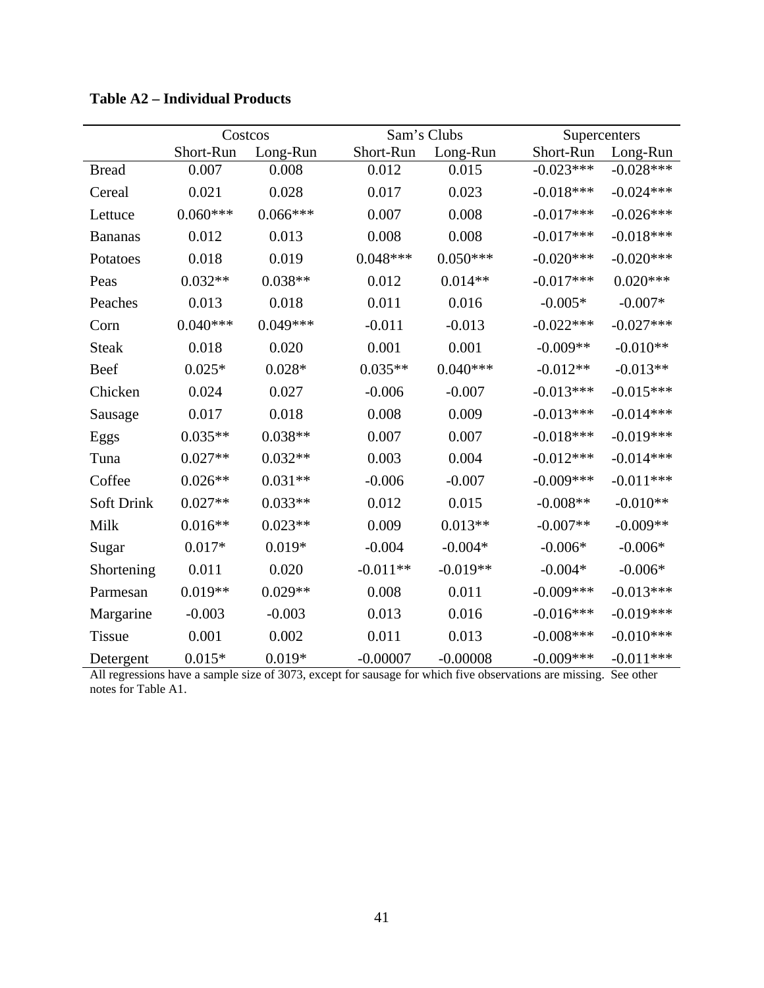|                   |            | Costcos    |            | Sam's Clubs | Supercenters |             |
|-------------------|------------|------------|------------|-------------|--------------|-------------|
|                   | Short-Run  | Long-Run   | Short-Run  | Long-Run    | Short-Run    | Long-Run    |
| <b>Bread</b>      | 0.007      | 0.008      | 0.012      | 0.015       | $-0.023***$  | $-0.028***$ |
| Cereal            | 0.021      | 0.028      | 0.017      | 0.023       | $-0.018***$  | $-0.024***$ |
| Lettuce           | $0.060***$ | $0.066***$ | 0.007      | 0.008       | $-0.017***$  | $-0.026***$ |
| <b>Bananas</b>    | 0.012      | 0.013      | 0.008      | 0.008       | $-0.017***$  | $-0.018***$ |
| Potatoes          | 0.018      | 0.019      | $0.048***$ | $0.050***$  | $-0.020***$  | $-0.020***$ |
| Peas              | $0.032**$  | $0.038**$  | 0.012      | $0.014**$   | $-0.017***$  | $0.020***$  |
| Peaches           | 0.013      | 0.018      | 0.011      | 0.016       | $-0.005*$    | $-0.007*$   |
| Corn              | $0.040***$ | $0.049***$ | $-0.011$   | $-0.013$    | $-0.022***$  | $-0.027***$ |
| <b>Steak</b>      | 0.018      | 0.020      | 0.001      | 0.001       | $-0.009**$   | $-0.010**$  |
| Beef              | $0.025*$   | $0.028*$   | $0.035**$  | $0.040***$  | $-0.012**$   | $-0.013**$  |
| Chicken           | 0.024      | 0.027      | $-0.006$   | $-0.007$    | $-0.013***$  | $-0.015***$ |
| Sausage           | 0.017      | 0.018      | 0.008      | 0.009       | $-0.013***$  | $-0.014***$ |
| Eggs              | $0.035**$  | $0.038**$  | 0.007      | 0.007       | $-0.018***$  | $-0.019***$ |
| Tuna              | $0.027**$  | $0.032**$  | 0.003      | 0.004       | $-0.012***$  | $-0.014***$ |
| Coffee            | $0.026**$  | $0.031**$  | $-0.006$   | $-0.007$    | $-0.009***$  | $-0.011***$ |
| <b>Soft Drink</b> | $0.027**$  | $0.033**$  | 0.012      | 0.015       | $-0.008**$   | $-0.010**$  |
| Milk              | $0.016**$  | $0.023**$  | 0.009      | $0.013**$   | $-0.007**$   | $-0.009**$  |
| Sugar             | $0.017*$   | $0.019*$   | $-0.004$   | $-0.004*$   | $-0.006*$    | $-0.006*$   |
| Shortening        | 0.011      | 0.020      | $-0.011**$ | $-0.019**$  | $-0.004*$    | $-0.006*$   |
| Parmesan          | $0.019**$  | $0.029**$  | 0.008      | 0.011       | $-0.009***$  | $-0.013***$ |
| Margarine         | $-0.003$   | $-0.003$   | 0.013      | 0.016       | $-0.016***$  | $-0.019***$ |
| <b>Tissue</b>     | 0.001      | 0.002      | 0.011      | 0.013       | $-0.008$ *** | $-0.010***$ |
| Detergent         | $0.015*$   | $0.019*$   | $-0.00007$ | $-0.00008$  | $-0.009***$  | $-0.011***$ |

**Table A2 – Individual Products** 

All regressions have a sample size of 3073, except for sausage for which five observations are missing. See other notes for Table A1.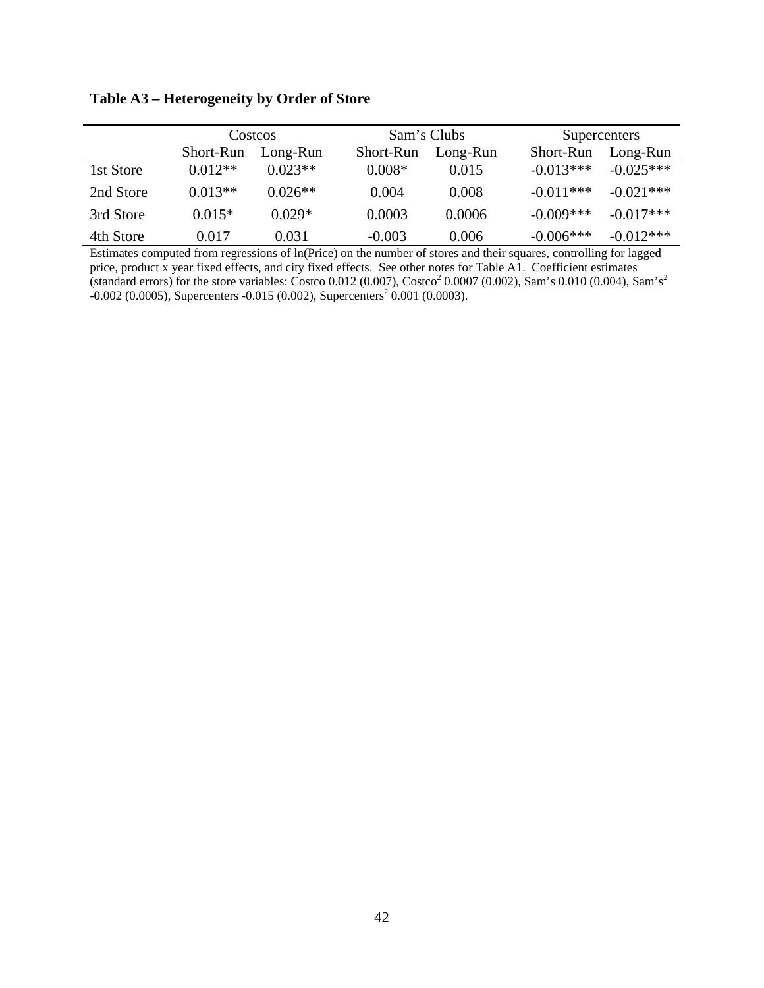**Table A3 – Heterogeneity by Order of Store** 

|           | Costcos<br>Short-Run<br>Long-Run |           |           | Sam's Clubs |             | Supercenters |  |  |
|-----------|----------------------------------|-----------|-----------|-------------|-------------|--------------|--|--|
|           |                                  |           | Short-Run | Long-Run    | Short-Run   | Long-Run     |  |  |
| 1st Store | $0.012**$                        | $0.023**$ | $0.008*$  | 0.015       | $-0.013***$ | $-0.025***$  |  |  |
| 2nd Store | $0.013**$                        | $0.026**$ | 0.004     | 0.008       | $-0.011***$ | $-0.021***$  |  |  |
| 3rd Store | $0.015*$                         | $0.029*$  | 0.0003    | 0.0006      | $-0.009***$ | $-0.017***$  |  |  |
| 4th Store | 0.017                            | 0.031     | $-0.003$  | 0.006       | $-0.006***$ | $-0.012***$  |  |  |

Estimates computed from regressions of ln(Price) on the number of stores and their squares, controlling for lagged price, product x year fixed effects, and city fixed effects. See other notes for Table A1. Coefficient estimates (standard errors) for the store variables: Costco 0.012 (0.007), Costco<sup>2</sup> 0.0007 (0.002), Sam's 0.010 (0.004), Sam's<sup>2</sup>  $-0.002$  (0.0005), Supercenters  $-0.015$  (0.002), Supercenters<sup>2</sup> 0.001 (0.0003).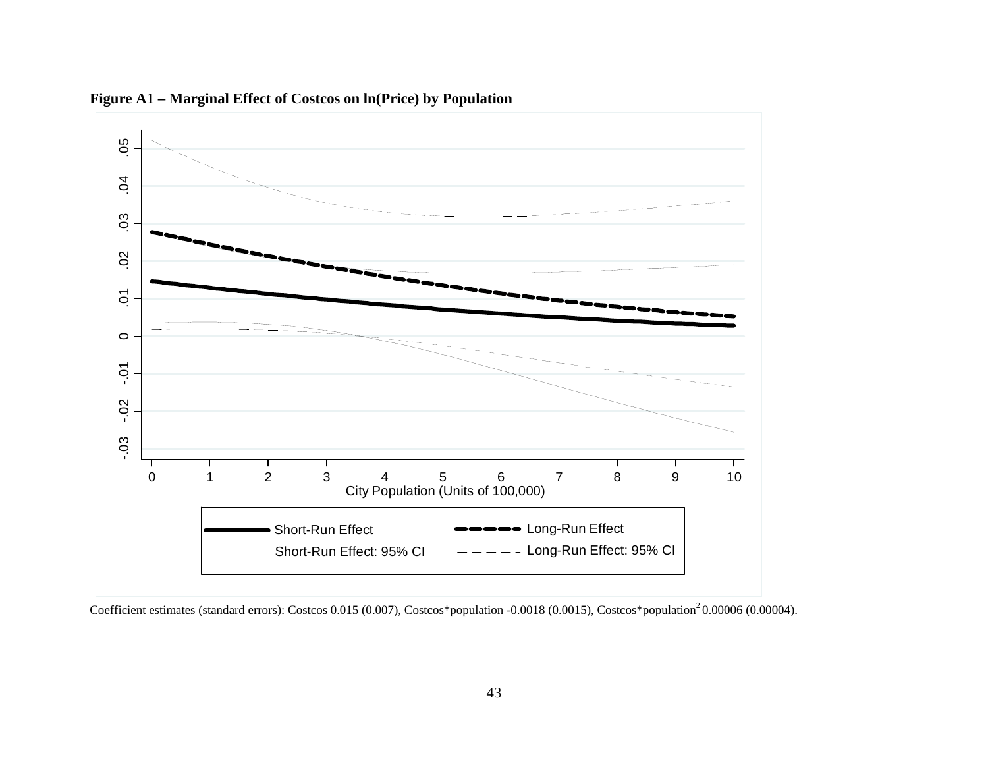

**Figure A1 – Marginal Effect of Costcos on ln(Price) by Population** 

Coefficient estimates (standard errors): Costcos 0.015 (0.007), Costcos\*population -0.0018 (0.0015), Costcos\*population<sup>2</sup> 0.00006 (0.00004).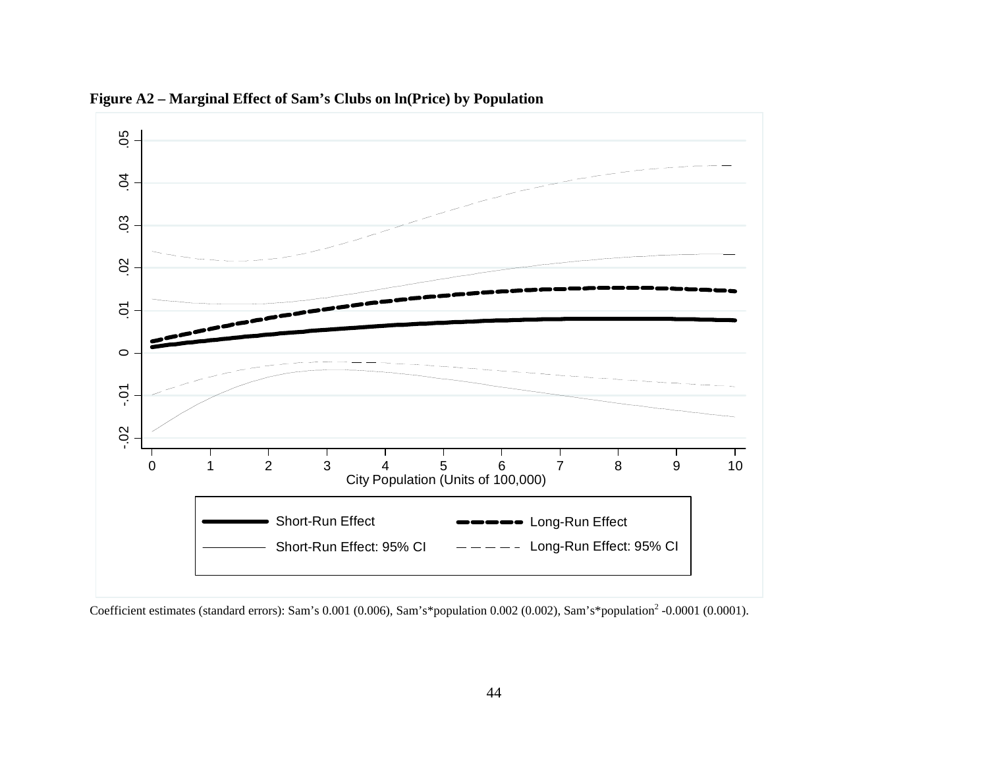

**Figure A2 – Marginal Effect of Sam's Clubs on ln(Price) by Population**

Coefficient estimates (standard errors): Sam's 0.001 (0.006), Sam's\*population 0.002 (0.002), Sam's\*population<sup>2</sup> -0.0001 (0.0001).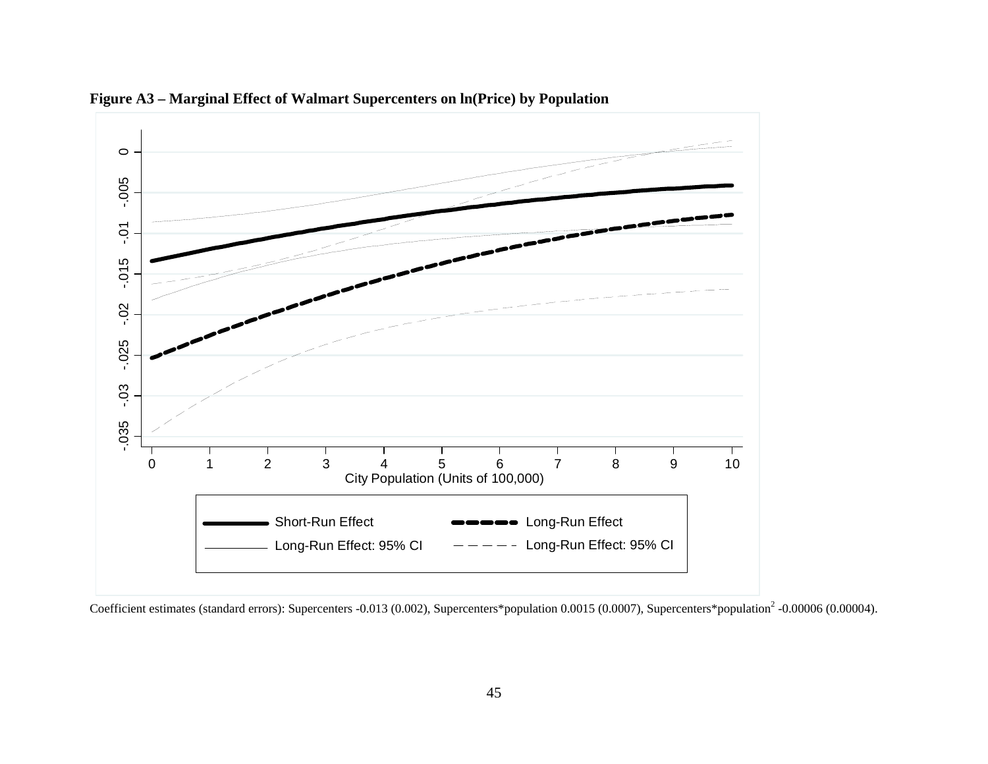

**Figure A3 – Marginal Effect of Walmart Supercenters on ln(Price) by Population** 

Coefficient estimates (standard errors): Supercenters -0.013 (0.002), Supercenters\*population 0.0015 (0.0007), Supercenters\*population<sup>2</sup> -0.00006 (0.00004).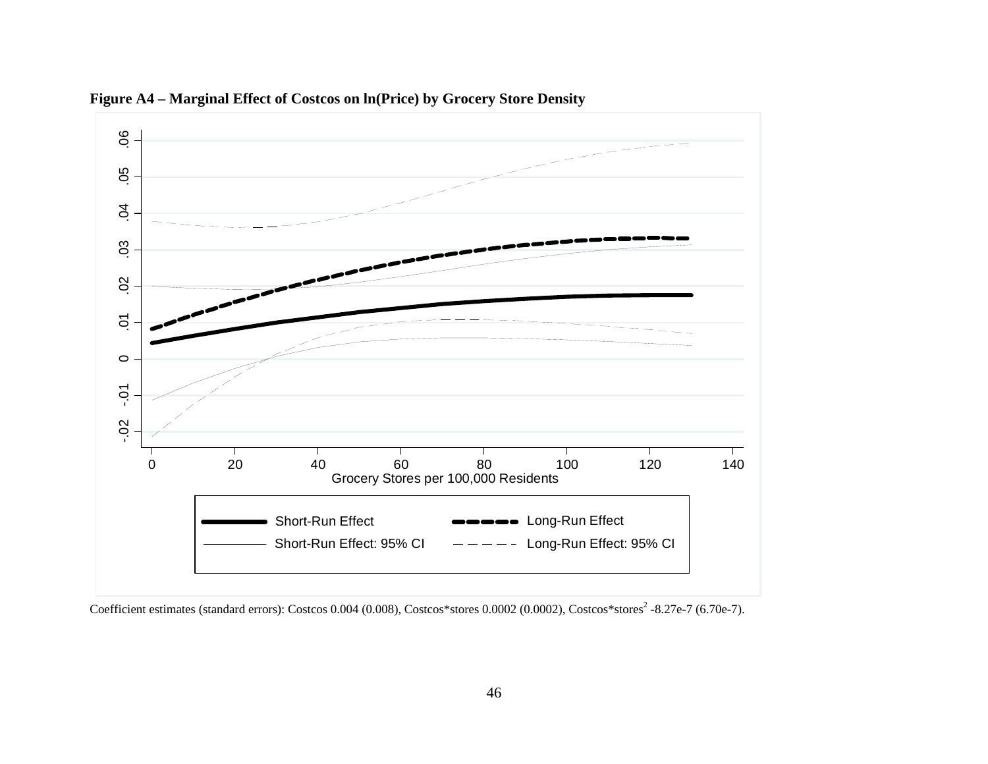

**Figure A4 – Marginal Effect of Costcos on ln(Price) by Grocery Store Density**

Coefficient estimates (standard errors): Costcos 0.004 (0.008), Costcos\*stores 0.0002 (0.0002), Costcos\*stores<sup>2</sup> -8.27e-7 (6.70e-7).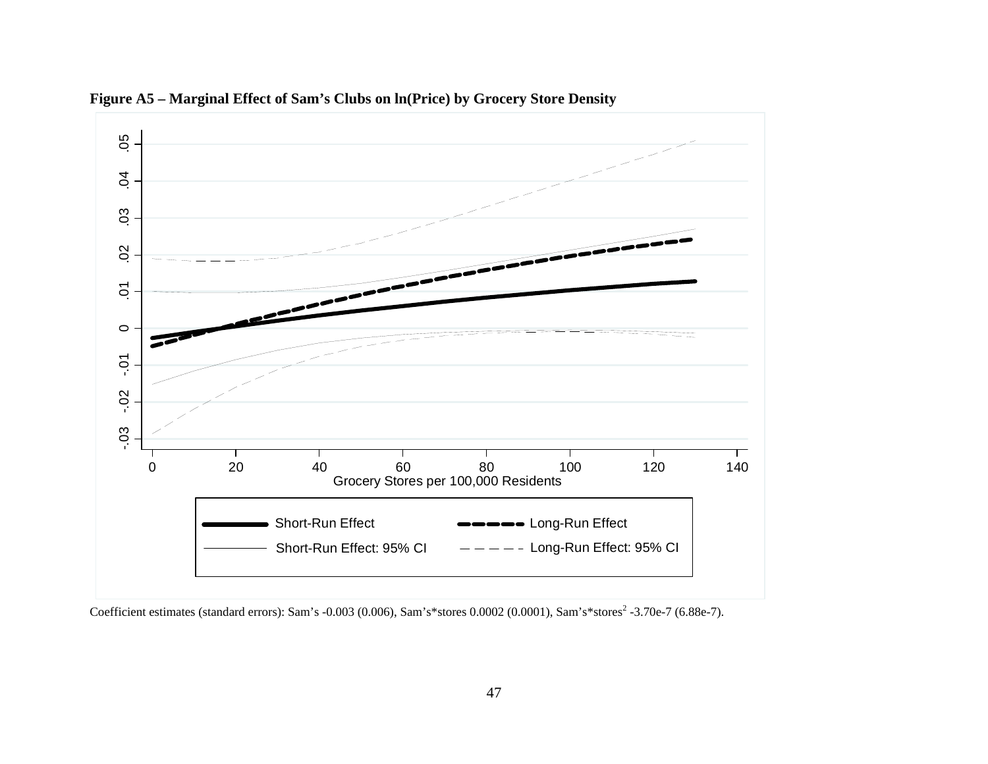

**Figure A5 – Marginal Effect of Sam's Clubs on ln(Price) by Grocery Store Density**

Coefficient estimates (standard errors): Sam's -0.003 (0.006), Sam's\*stores 0.0002 (0.0001), Sam's\*stores<sup>2</sup> -3.70e-7 (6.88e-7).